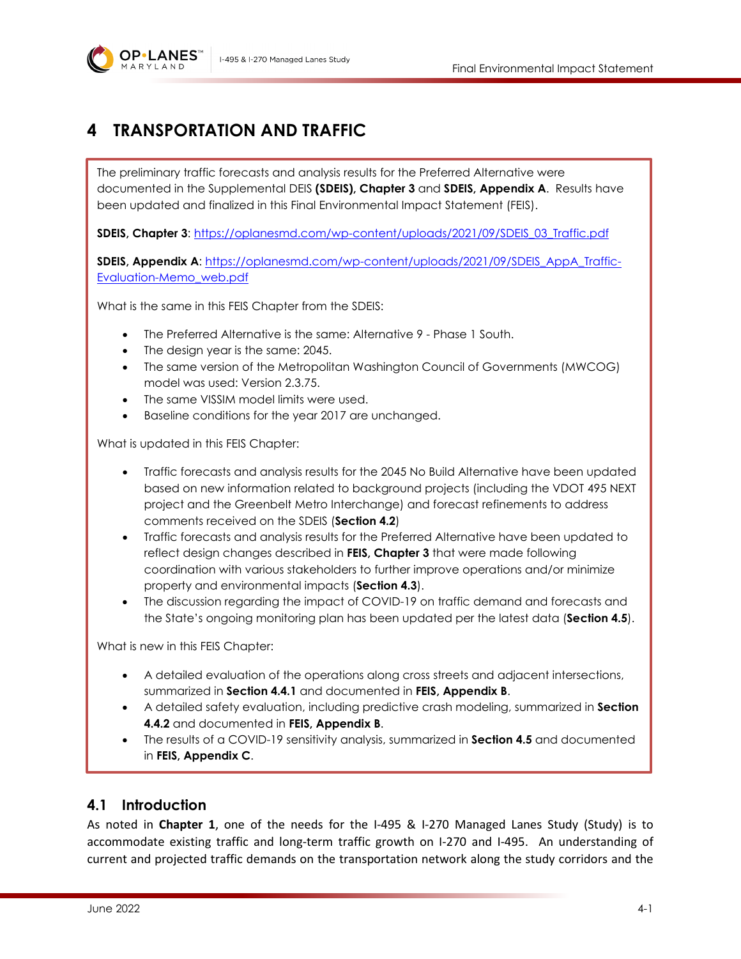

# **4 TRANSPORTATION AND TRAFFIC**

The preliminary traffic forecasts and analysis results for the Preferred Alternative were documented in the Supplemental DEIS **(SDEIS), Chapter 3** and **SDEIS, Appendix A**. Results have been updated and finalized in this Final Environmental Impact Statement (FEIS).

**SDEIS, Chapter 3**: [https://oplanesmd.com/wp-content/uploads/2021/09/SDEIS\\_03\\_Traffic.pdf](https://oplanesmd.com/wp-content/uploads/2021/09/SDEIS_03_Traffic.pdf)

**SDEIS, Appendix A**: [https://oplanesmd.com/wp-content/uploads/2021/09/SDEIS\\_AppA\\_Traffic-](https://oplanesmd.com/wp-content/uploads/2021/09/SDEIS_AppA_Traffic-Evaluation-Memo_web.pdf)[Evaluation-Memo\\_web.pdf](https://oplanesmd.com/wp-content/uploads/2021/09/SDEIS_AppA_Traffic-Evaluation-Memo_web.pdf)

What is the same in this FEIS Chapter from the SDEIS:

- The Preferred Alternative is the same: Alternative 9 Phase 1 South.
- The design year is the same: 2045.
- The same version of the Metropolitan Washington Council of Governments (MWCOG) model was used: Version 2.3.75.
- The same VISSIM model limits were used.
- Baseline conditions for the year 2017 are unchanged.

What is updated in this FEIS Chapter:

- Traffic forecasts and analysis results for the 2045 No Build Alternative have been updated based on new information related to background projects (including the VDOT 495 NEXT project and the Greenbelt Metro Interchange) and forecast refinements to address comments received on the SDEIS (**Section [4.2](#page-7-0)**)
- Traffic forecasts and analysis results for the Preferred Alternative have been updated to reflect design changes described in **FEIS, Chapter 3** that were made following coordination with various stakeholders to further improve operations and/or minimize property and environmental impacts (**Section [4.3](#page-8-0)**).
- The discussion regarding the impact of COVID-19 on traffic demand and forecasts and the State's ongoing monitoring plan has been updated per the latest data (**Section [4.5](#page-19-0)**).

What is new in this FEIS Chapter:

- A detailed evaluation of the operations along cross streets and adjacent intersections, summarized in **Section [4.4.1](#page-17-0)** and documented in **FEIS, Appendix B**.
- A detailed safety evaluation, including predictive crash modeling, summarized in **Section [4.4.2](#page-18-0)** and documented in **FEIS, Appendix B**.
- The results of a COVID-19 sensitivity analysis, summarized in **Section [4.5](#page-19-0)** and documented in **FEIS, Appendix C**.

## **4.1 Introduction**

As noted in **Chapter 1**, one of the needs for the I-495 & I-270 Managed Lanes Study (Study) is to accommodate existing traffic and long-term traffic growth on I-270 and I-495. An understanding of current and projected traffic demands on the transportation network along the study corridors and the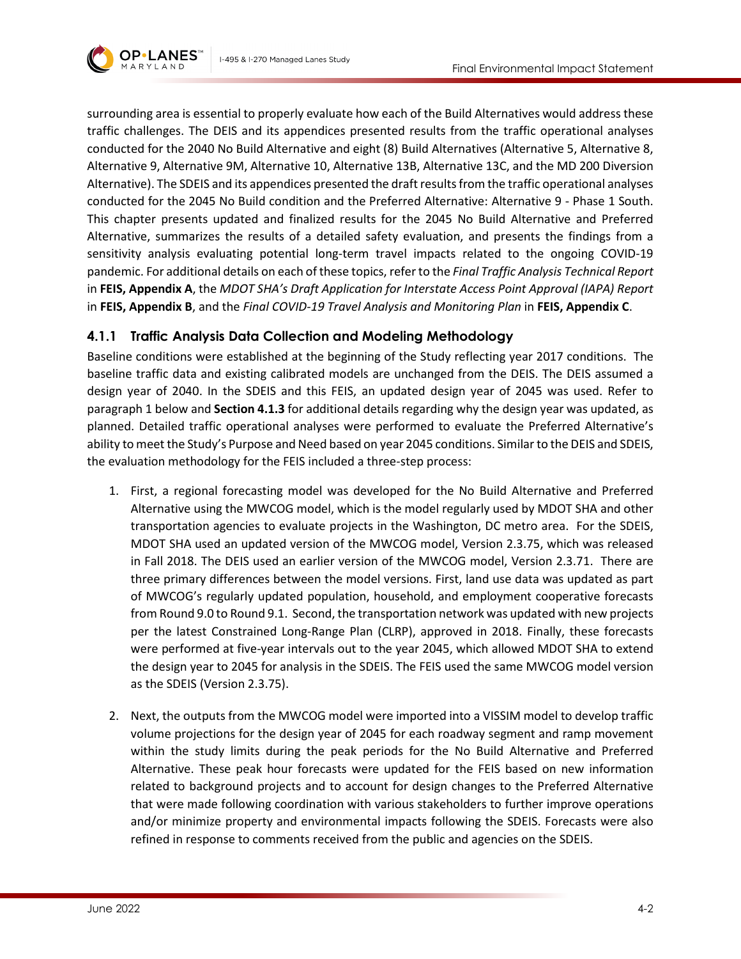

surrounding area is essential to properly evaluate how each of the Build Alternatives would address these traffic challenges. The DEIS and its appendices presented results from the traffic operational analyses conducted for the 2040 No Build Alternative and eight (8) Build Alternatives (Alternative 5, Alternative 8, Alternative 9, Alternative 9M, Alternative 10, Alternative 13B, Alternative 13C, and the MD 200 Diversion Alternative). The SDEIS and its appendices presented the draft results from the traffic operational analyses conducted for the 2045 No Build condition and the Preferred Alternative: Alternative 9 - Phase 1 South. This chapter presents updated and finalized results for the 2045 No Build Alternative and Preferred Alternative, summarizes the results of a detailed safety evaluation, and presents the findings from a sensitivity analysis evaluating potential long-term travel impacts related to the ongoing COVID-19 pandemic. For additional details on each of these topics, refer to the *Final Traffic Analysis Technical Report* in **FEIS, Appendix A**, the *MDOT SHA's Draft Application for Interstate Access Point Approval (IAPA) Report* in **FEIS, Appendix B**, and the *Final COVID-19 Travel Analysis and Monitoring Plan* in **FEIS, Appendix C**.

### **4.1.1 Traffic Analysis Data Collection and Modeling Methodology**

Baseline conditions were established at the beginning of the Study reflecting year 2017 conditions. The baseline traffic data and existing calibrated models are unchanged from the DEIS. The DEIS assumed a design year of 2040. In the SDEIS and this FEIS, an updated design year of 2045 was used. Refer to paragraph 1 below and **Section [4.1.3](#page-2-0)** for additional details regarding why the design year was updated, as planned. Detailed traffic operational analyses were performed to evaluate the Preferred Alternative's ability to meet the Study's Purpose and Need based on year 2045 conditions. Similar to the DEIS and SDEIS, the evaluation methodology for the FEIS included a three-step process:

- 1. First, a regional forecasting model was developed for the No Build Alternative and Preferred Alternative using the MWCOG model, which is the model regularly used by MDOT SHA and other transportation agencies to evaluate projects in the Washington, DC metro area. For the SDEIS, MDOT SHA used an updated version of the MWCOG model, Version 2.3.75, which was released in Fall 2018. The DEIS used an earlier version of the MWCOG model, Version 2.3.71. There are three primary differences between the model versions. First, land use data was updated as part of MWCOG's regularly updated population, household, and employment cooperative forecasts from Round 9.0 to Round 9.1. Second, the transportation network was updated with new projects per the latest Constrained Long-Range Plan (CLRP), approved in 2018. Finally, these forecasts were performed at five-year intervals out to the year 2045, which allowed MDOT SHA to extend the design year to 2045 for analysis in the SDEIS. The FEIS used the same MWCOG model version as the SDEIS (Version 2.3.75).
- 2. Next, the outputs from the MWCOG model were imported into a VISSIM model to develop traffic volume projections for the design year of 2045 for each roadway segment and ramp movement within the study limits during the peak periods for the No Build Alternative and Preferred Alternative. These peak hour forecasts were updated for the FEIS based on new information related to background projects and to account for design changes to the Preferred Alternative that were made following coordination with various stakeholders to further improve operations and/or minimize property and environmental impacts following the SDEIS. Forecasts were also refined in response to comments received from the public and agencies on the SDEIS.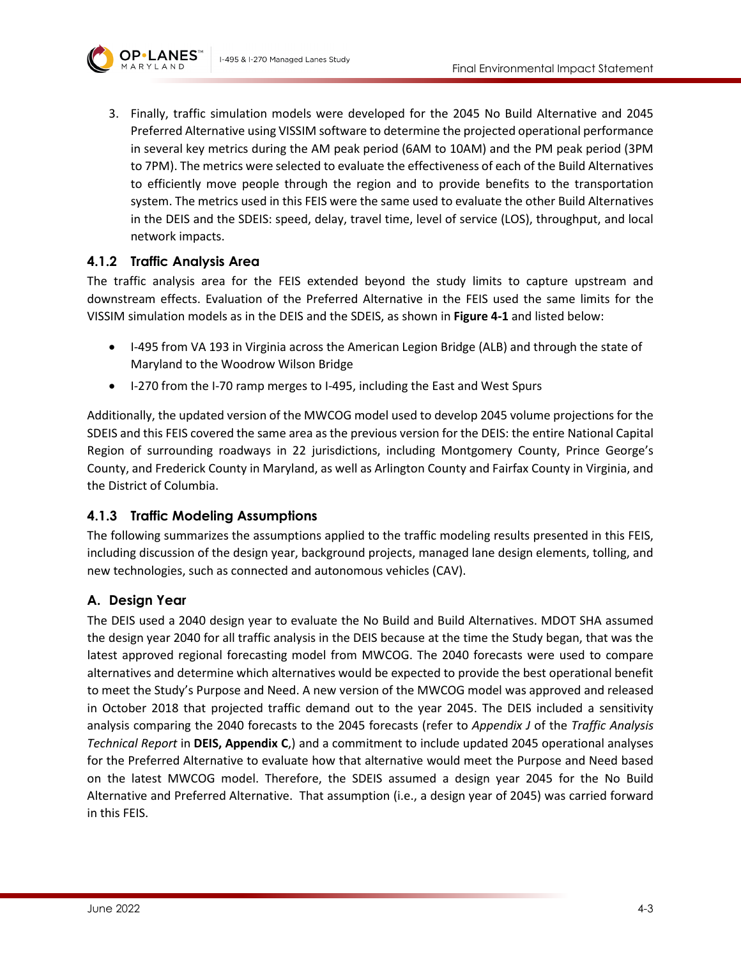

3. Finally, traffic simulation models were developed for the 2045 No Build Alternative and 2045 Preferred Alternative using VISSIM software to determine the projected operational performance in several key metrics during the AM peak period (6AM to 10AM) and the PM peak period (3PM to 7PM). The metrics were selected to evaluate the effectiveness of each of the Build Alternatives to efficiently move people through the region and to provide benefits to the transportation system. The metrics used in this FEIS were the same used to evaluate the other Build Alternatives in the DEIS and the SDEIS: speed, delay, travel time, level of service (LOS), throughput, and local network impacts.

### **4.1.2 Traffic Analysis Area**

The traffic analysis area for the FEIS extended beyond the study limits to capture upstream and downstream effects. Evaluation of the Preferred Alternative in the FEIS used the same limits for the VISSIM simulation models as in the DEIS and the SDEIS, as shown in **[Figure 4-1](#page-3-0)** and listed below:

- I-495 from VA 193 in Virginia across the American Legion Bridge (ALB) and through the state of Maryland to the Woodrow Wilson Bridge
- I-270 from the I-70 ramp merges to I-495, including the East and West Spurs

Additionally, the updated version of the MWCOG model used to develop 2045 volume projections for the SDEIS and this FEIS covered the same area as the previous version for the DEIS: the entire National Capital Region of surrounding roadways in 22 jurisdictions, including Montgomery County, Prince George's County, and Frederick County in Maryland, as well as Arlington County and Fairfax County in Virginia, and the District of Columbia.

### <span id="page-2-0"></span>**4.1.3 Traffic Modeling Assumptions**

The following summarizes the assumptions applied to the traffic modeling results presented in this FEIS, including discussion of the design year, background projects, managed lane design elements, tolling, and new technologies, such as connected and autonomous vehicles (CAV).

### **A. Design Year**

The DEIS used a 2040 design year to evaluate the No Build and Build Alternatives. MDOT SHA assumed the design year 2040 for all traffic analysis in the DEIS because at the time the Study began, that was the latest approved regional forecasting model from MWCOG. The 2040 forecasts were used to compare alternatives and determine which alternatives would be expected to provide the best operational benefit to meet the Study's Purpose and Need. A new version of the MWCOG model was approved and released in October 2018 that projected traffic demand out to the year 2045. The DEIS included a sensitivity analysis comparing the 2040 forecasts to the 2045 forecasts (refer to *Appendix J* of the *Traffic Analysis Technical Report* in **DEIS, Appendix C**,) and a commitment to include updated 2045 operational analyses for the Preferred Alternative to evaluate how that alternative would meet the Purpose and Need based on the latest MWCOG model. Therefore, the SDEIS assumed a design year 2045 for the No Build Alternative and Preferred Alternative. That assumption (i.e., a design year of 2045) was carried forward in this FEIS.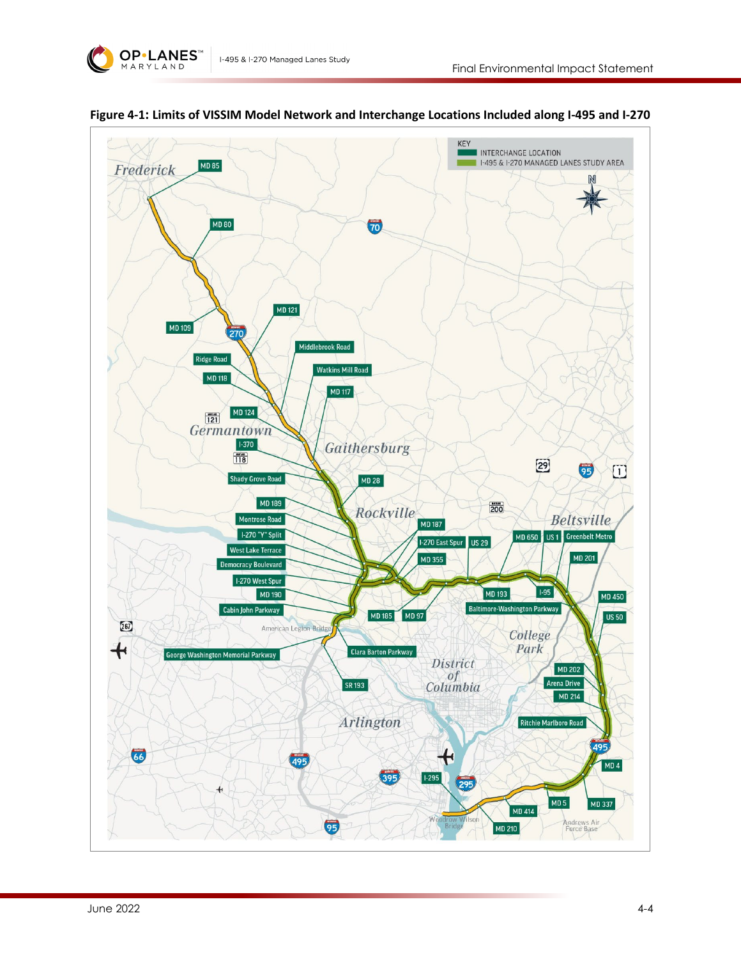



<span id="page-3-0"></span>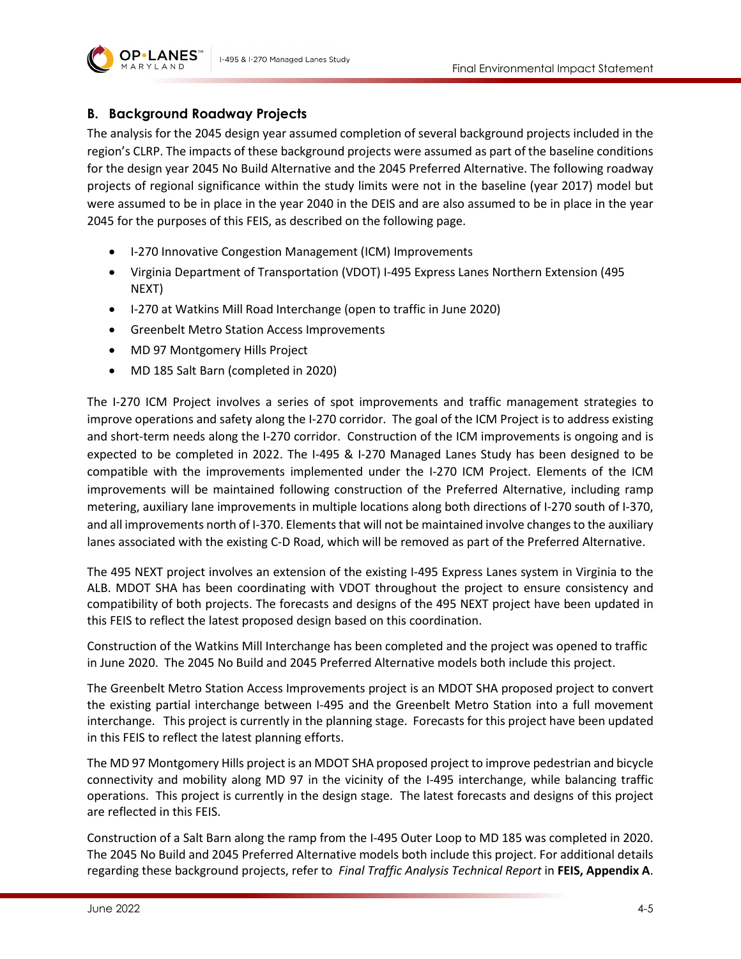

#### **B. Background Roadway Projects**

The analysis for the 2045 design year assumed completion of several background projects included in the region's CLRP. The impacts of these background projects were assumed as part of the baseline conditions for the design year 2045 No Build Alternative and the 2045 Preferred Alternative. The following roadway projects of regional significance within the study limits were not in the baseline (year 2017) model but were assumed to be in place in the year 2040 in the DEIS and are also assumed to be in place in the year 2045 for the purposes of this FEIS, as described on the following page.

- I-270 Innovative Congestion Management (ICM) Improvements
- Virginia Department of Transportation (VDOT) I-495 Express Lanes Northern Extension (495 NEXT)
- I-270 at Watkins Mill Road Interchange (open to traffic in June 2020)
- Greenbelt Metro Station Access Improvements
- MD 97 Montgomery Hills Project
- MD 185 Salt Barn (completed in 2020)

The I-270 ICM Project involves a series of spot improvements and traffic management strategies to improve operations and safety along the I-270 corridor. The goal of the ICM Project is to address existing and short-term needs along the I-270 corridor. Construction of the ICM improvements is ongoing and is expected to be completed in 2022. The I-495 & I-270 Managed Lanes Study has been designed to be compatible with the improvements implemented under the I-270 ICM Project. Elements of the ICM improvements will be maintained following construction of the Preferred Alternative, including ramp metering, auxiliary lane improvements in multiple locations along both directions of I-270 south of I-370, and all improvements north of I-370. Elements that will not be maintained involve changes to the auxiliary lanes associated with the existing C-D Road, which will be removed as part of the Preferred Alternative.

The 495 NEXT project involves an extension of the existing I-495 Express Lanes system in Virginia to the ALB. MDOT SHA has been coordinating with VDOT throughout the project to ensure consistency and compatibility of both projects. The forecasts and designs of the 495 NEXT project have been updated in this FEIS to reflect the latest proposed design based on this coordination.

Construction of the Watkins Mill Interchange has been completed and the project was opened to traffic in June 2020. The 2045 No Build and 2045 Preferred Alternative models both include this project.

The Greenbelt Metro Station Access Improvements project is an MDOT SHA proposed project to convert the existing partial interchange between I-495 and the Greenbelt Metro Station into a full movement interchange. This project is currently in the planning stage. Forecasts for this project have been updated in this FEIS to reflect the latest planning efforts.

The MD 97 Montgomery Hills project is an MDOT SHA proposed project to improve pedestrian and bicycle connectivity and mobility along MD 97 in the vicinity of the I-495 interchange, while balancing traffic operations. This project is currently in the design stage. The latest forecasts and designs of this project are reflected in this FEIS.

Construction of a Salt Barn along the ramp from the I-495 Outer Loop to MD 185 was completed in 2020. The 2045 No Build and 2045 Preferred Alternative models both include this project. For additional details regarding these background projects, refer to *Final Traffic Analysis Technical Report* in **FEIS, Appendix A**.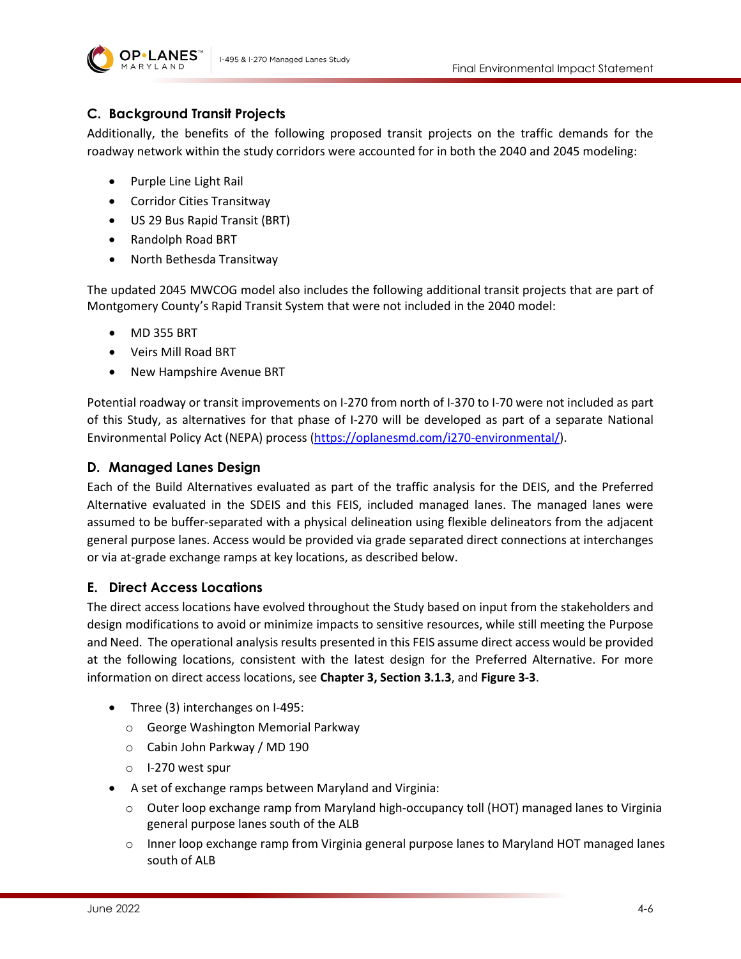



## **C. Background Transit Projects**

Additionally, the benefits of the following proposed transit projects on the traffic demands for the roadway network within the study corridors were accounted for in both the 2040 and 2045 modeling:

- Purple Line Light Rail
- Corridor Cities Transitway
- US 29 Bus Rapid Transit (BRT)
- Randolph Road BRT
- North Bethesda Transitway

The updated 2045 MWCOG model also includes the following additional transit projects that are part of Montgomery County's Rapid Transit System that were not included in the 2040 model:

- MD 355 BRT
- Veirs Mill Road BRT
- New Hampshire Avenue BRT

Potential roadway or transit improvements on I-270 from north of I-370 to I-70 were not included as part of this Study, as alternatives for that phase of I-270 will be developed as part of a separate National Environmental Policy Act (NEPA) process [\(https://oplanesmd.com/i270-environmental/\)](https://oplanesmd.com/i270-environmental/).

### **D. Managed Lanes Design**

Each of the Build Alternatives evaluated as part of the traffic analysis for the DEIS, and the Preferred Alternative evaluated in the SDEIS and this FEIS, included managed lanes. The managed lanes were assumed to be buffer-separated with a physical delineation using flexible delineators from the adjacent general purpose lanes. Access would be provided via grade separated direct connections at interchanges or via at-grade exchange ramps at key locations, as described below.

### **E. Direct Access Locations**

The direct access locations have evolved throughout the Study based on input from the stakeholders and design modifications to avoid or minimize impacts to sensitive resources, while still meeting the Purpose and Need. The operational analysis results presented in this FEIS assume direct access would be provided at the following locations, consistent with the latest design for the Preferred Alternative. For more information on direct access locations, see **Chapter 3, Section 3.1.3**, and **Figure 3-3**.

- Three (3) interchanges on I-495:
	- o George Washington Memorial Parkway
	- o Cabin John Parkway / MD 190
	- o I-270 west spur
- A set of exchange ramps between Maryland and Virginia:
	- $\circ$  Outer loop exchange ramp from Maryland high-occupancy toll (HOT) managed lanes to Virginia general purpose lanes south of the ALB
	- $\circ$  Inner loop exchange ramp from Virginia general purpose lanes to Maryland HOT managed lanes south of ALB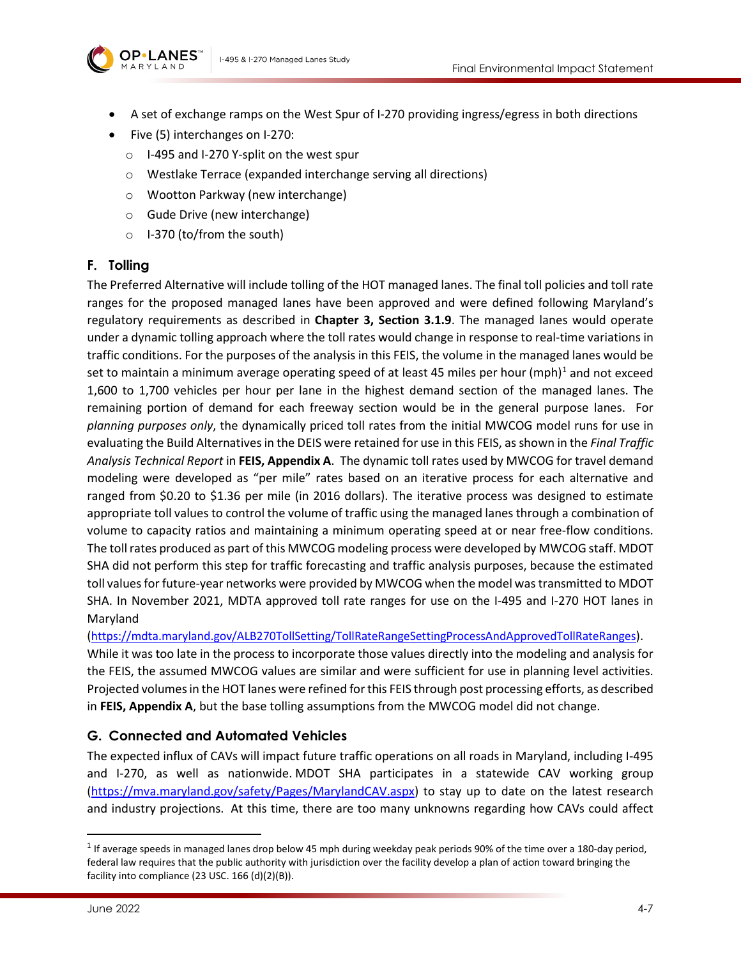

- A set of exchange ramps on the West Spur of I-270 providing ingress/egress in both directions
- Five (5) interchanges on I-270:
	- o I-495 and I-270 Y-split on the west spur
	- o Westlake Terrace (expanded interchange serving all directions)
	- o Wootton Parkway (new interchange)
	- o Gude Drive (new interchange)
	- o I-370 (to/from the south)

### **F. Tolling**

The Preferred Alternative will include tolling of the HOT managed lanes. The final toll policies and toll rate ranges for the proposed managed lanes have been approved and were defined following Maryland's regulatory requirements as described in **Chapter 3, Section 3.1.9**. The managed lanes would operate under a dynamic tolling approach where the toll rates would change in response to real-time variations in traffic conditions. For the purposes of the analysis in this FEIS, the volume in the managed lanes would be set to maintain a minimum average operating speed of at least 45 miles per hour (mph)<sup>[1](#page-6-0)</sup> and not exceed 1,600 to 1,700 vehicles per hour per lane in the highest demand section of the managed lanes. The remaining portion of demand for each freeway section would be in the general purpose lanes. For *planning purposes only*, the dynamically priced toll rates from the initial MWCOG model runs for use in evaluating the Build Alternatives in the DEIS were retained for use in this FEIS, as shown in the *Final Traffic Analysis Technical Report* in **FEIS, Appendix A**. The dynamic toll rates used by MWCOG for travel demand modeling were developed as "per mile" rates based on an iterative process for each alternative and ranged from \$0.20 to \$1.36 per mile (in 2016 dollars). The iterative process was designed to estimate appropriate toll values to control the volume of traffic using the managed lanes through a combination of volume to capacity ratios and maintaining a minimum operating speed at or near free-flow conditions. The toll rates produced as part of this MWCOG modeling process were developed by MWCOG staff. MDOT SHA did not perform this step for traffic forecasting and traffic analysis purposes, because the estimated toll values for future-year networks were provided by MWCOG when the model was transmitted to MDOT SHA. In November 2021, MDTA approved toll rate ranges for use on the I-495 and I-270 HOT lanes in Maryland

[\(https://mdta.maryland.gov/ALB270TollSetting/TollRateRangeSettingProcessAndApprovedTollRateRanges\)](https://mdta.maryland.gov/ALB270TollSetting/TollRateRangeSettingProcessAndApprovedTollRateRanges).

While it was too late in the process to incorporate those values directly into the modeling and analysis for the FEIS, the assumed MWCOG values are similar and were sufficient for use in planning level activities. Projected volumes in the HOT lanes were refined for this FEIS through post processing efforts, as described in **FEIS, Appendix A**, but the base tolling assumptions from the MWCOG model did not change.

## **G. Connected and Automated Vehicles**

The expected influx of CAVs will impact future traffic operations on all roads in Maryland, including I-495 and I-270, as well as nationwide. MDOT SHA participates in a statewide CAV working group [\(https://mva.maryland.gov/safety/Pages/MarylandCAV.aspx\)](https://mva.maryland.gov/safety/Pages/MarylandCAV.aspx) to stay up to date on the latest research and industry projections. At this time, there are too many unknowns regarding how CAVs could affect

<span id="page-6-0"></span> $1$  If average speeds in managed lanes drop below 45 mph during weekday peak periods 90% of the time over a 180-day period, federal law requires that the public authority with jurisdiction over the facility develop a plan of action toward bringing the facility into compliance (23 USC. 166 (d)(2)(B)).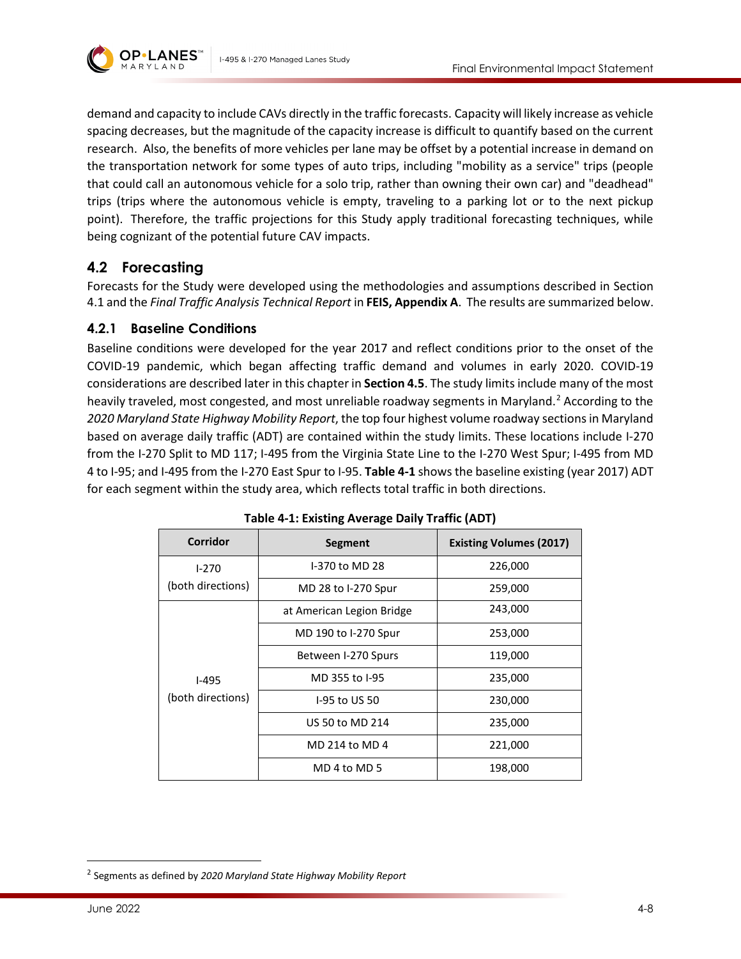

demand and capacity to include CAVs directly in the traffic forecasts. Capacity will likely increase as vehicle spacing decreases, but the magnitude of the capacity increase is difficult to quantify based on the current research. Also, the benefits of more vehicles per lane may be offset by a potential increase in demand on the transportation network for some types of auto trips, including "mobility as a service" trips (people that could call an autonomous vehicle for a solo trip, rather than owning their own car) and "deadhead" trips (trips where the autonomous vehicle is empty, traveling to a parking lot or to the next pickup point). Therefore, the traffic projections for this Study apply traditional forecasting techniques, while being cognizant of the potential future CAV impacts.

# <span id="page-7-0"></span>**4.2 Forecasting**

Forecasts for the Study were developed using the methodologies and assumptions described in Section 4.1 and the *Final Traffic Analysis Technical Report* in **FEIS, Appendix A**. The results are summarized below.

### **4.2.1 Baseline Conditions**

Baseline conditions were developed for the year 2017 and reflect conditions prior to the onset of the COVID-19 pandemic, which began affecting traffic demand and volumes in early 2020. COVID-19 considerations are described later in this chapter in **Sectio[n 4.5](#page-19-0)**. The study limits include many of the most heavily traveled, most congested, and most unreliable roadway segments in Maryland.<sup>[2](#page-7-2)</sup> According to the *2020 Maryland State Highway Mobility Report*, the top four highest volume roadway sections in Maryland based on average daily traffic (ADT) are contained within the study limits. These locations include I-270 from the I-270 Split to MD 117; I-495 from the Virginia State Line to the I-270 West Spur; I-495 from MD 4 to I-95; and I-495 from the I-270 East Spur to I-95. **[Table 4-1](#page-7-1)** shows the baseline existing (year 2017) ADT for each segment within the study area, which reflects total traffic in both directions.

<span id="page-7-1"></span>

| <b>Corridor</b>              | <b>Segment</b>            | <b>Existing Volumes (2017)</b> |
|------------------------------|---------------------------|--------------------------------|
| $1 - 270$                    | I-370 to MD 28            | 226,000                        |
| (both directions)            | MD 28 to I-270 Spur       | 259,000                        |
| $I-495$<br>(both directions) | at American Legion Bridge | 243,000                        |
|                              | MD 190 to I-270 Spur      | 253,000                        |
|                              | Between I-270 Spurs       | 119,000                        |
|                              | MD 355 to I-95            | 235,000                        |
|                              | 1-95 to US 50             | 230,000                        |
|                              | US 50 to MD 214           | 235,000                        |
|                              | MD 214 to MD 4            | 221,000                        |
|                              | MD 4 to MD 5              | 198,000                        |

| Table 4-1: Existing Average Daily Traffic (ADT) |  |  |  |
|-------------------------------------------------|--|--|--|
|-------------------------------------------------|--|--|--|

<span id="page-7-2"></span><sup>2</sup> Segments as defined by *2020 Maryland State Highway Mobility Report*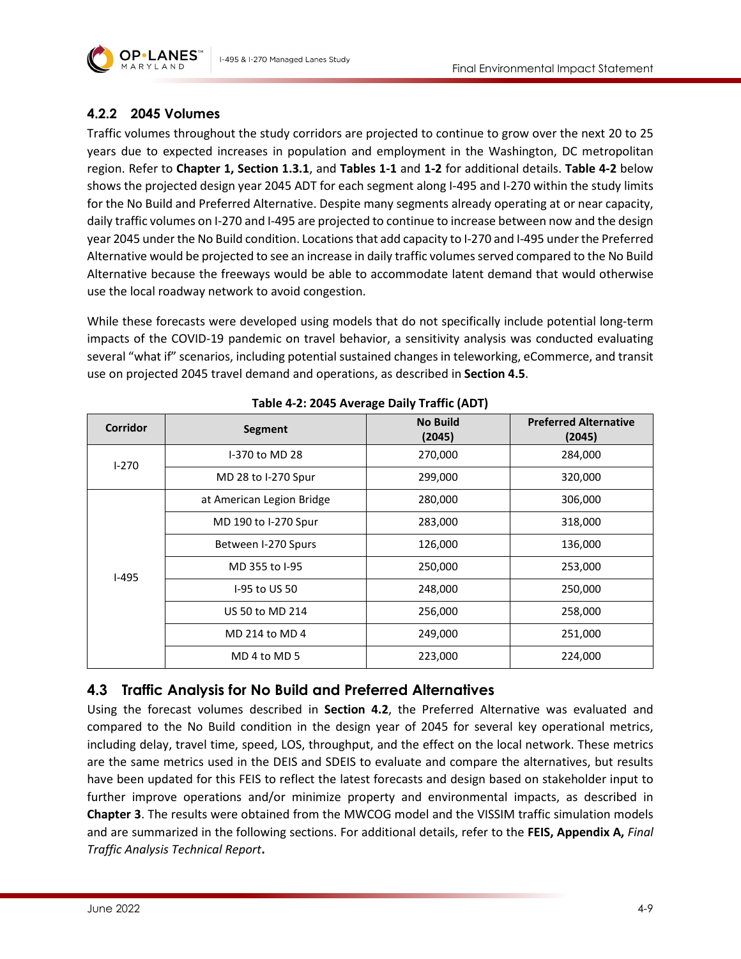

## **4.2.2 2045 Volumes**

Traffic volumes throughout the study corridors are projected to continue to grow over the next 20 to 25 years due to expected increases in population and employment in the Washington, DC metropolitan region. Refer to **Chapter 1, Section 1.3.1**, and **Tables 1-1** and **1-2** for additional details. **[Table 4-2](#page-8-1)** below shows the projected design year 2045 ADT for each segment along I-495 and I-270 within the study limits for the No Build and Preferred Alternative. Despite many segments already operating at or near capacity, daily traffic volumes on I-270 and I-495 are projected to continue to increase between now and the design year 2045 under the No Build condition. Locations that add capacity to I-270 and I-495 under the Preferred Alternative would be projected to see an increase in daily traffic volumes served compared to the No Build Alternative because the freeways would be able to accommodate latent demand that would otherwise use the local roadway network to avoid congestion.

While these forecasts were developed using models that do not specifically include potential long-term impacts of the COVID-19 pandemic on travel behavior, a sensitivity analysis was conducted evaluating several "what if" scenarios, including potential sustained changes in teleworking, eCommerce, and transit use on projected 2045 travel demand and operations, as described in **Section [4.5](#page-19-0)**.

<span id="page-8-1"></span>

| <b>Corridor</b> | Segment                   | <b>No Build</b><br>(2045) | <b>Preferred Alternative</b><br>(2045) |  |  |
|-----------------|---------------------------|---------------------------|----------------------------------------|--|--|
| $1-270$         | I-370 to MD 28            | 270,000                   | 284,000                                |  |  |
|                 | MD 28 to I-270 Spur       | 299,000                   | 320,000                                |  |  |
|                 | at American Legion Bridge | 280,000                   | 306,000                                |  |  |
| $I-495$         | MD 190 to I-270 Spur      | 283,000                   | 318,000                                |  |  |
|                 | Between I-270 Spurs       | 126,000                   | 136,000                                |  |  |
|                 | MD 355 to I-95            | 250,000                   | 253,000                                |  |  |
|                 | I-95 to US 50             | 248,000                   | 250,000                                |  |  |
|                 | US 50 to MD 214           | 256,000                   | 258,000                                |  |  |
|                 | MD 214 to MD 4            | 249,000                   | 251,000                                |  |  |
|                 | MD 4 to MD 5              | 223,000                   | 224,000                                |  |  |

## <span id="page-8-0"></span>**4.3 Traffic Analysis for No Build and Preferred Alternatives**

Using the forecast volumes described in **Section 4.2**, the Preferred Alternative was evaluated and compared to the No Build condition in the design year of 2045 for several key operational metrics, including delay, travel time, speed, LOS, throughput, and the effect on the local network. These metrics are the same metrics used in the DEIS and SDEIS to evaluate and compare the alternatives, but results have been updated for this FEIS to reflect the latest forecasts and design based on stakeholder input to further improve operations and/or minimize property and environmental impacts, as described in **Chapter 3**. The results were obtained from the MWCOG model and the VISSIM traffic simulation models and are summarized in the following sections. For additional details, refer to the **FEIS, Appendix A,** *Final Traffic Analysis Technical Report***.**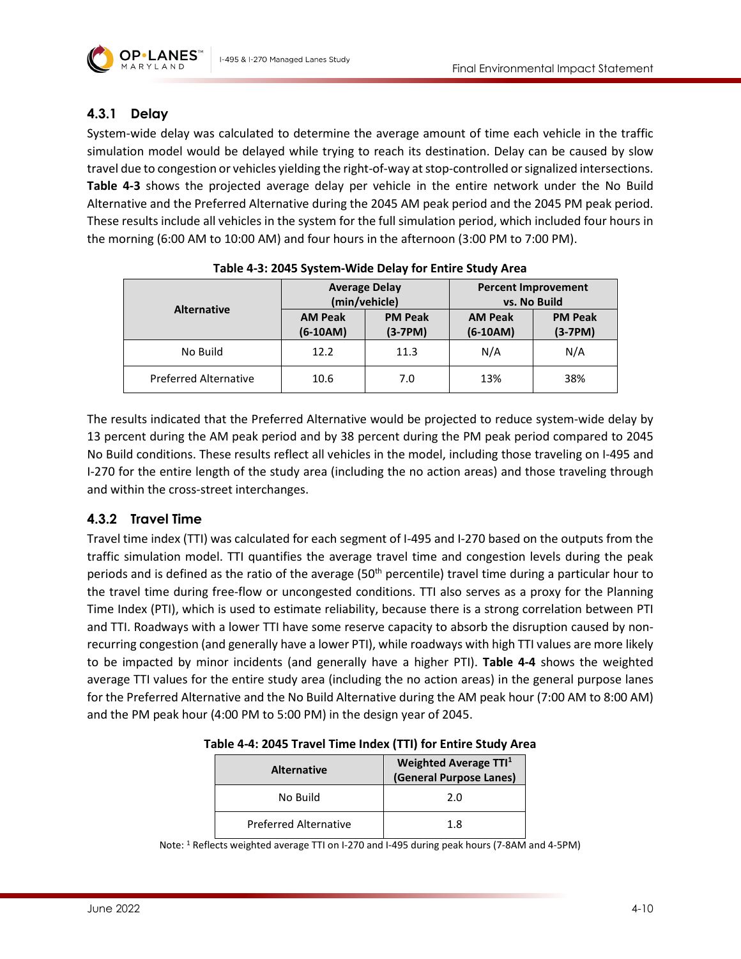

### **4.3.1 Delay**

System-wide delay was calculated to determine the average amount of time each vehicle in the traffic simulation model would be delayed while trying to reach its destination. Delay can be caused by slow travel due to congestion or vehicles yielding the right-of-way at stop-controlled or signalized intersections. **[Table 4-3](#page-9-0)** shows the projected average delay per vehicle in the entire network under the No Build Alternative and the Preferred Alternative during the 2045 AM peak period and the 2045 PM peak period. These results include all vehicles in the system for the full simulation period, which included four hours in the morning (6:00 AM to 10:00 AM) and four hours in the afternoon (3:00 PM to 7:00 PM).

<span id="page-9-0"></span>

| Table 4-9. 2049 System-Wilde Delay Tor Entire Staay Area |                              |                             |                                            |                             |  |  |
|----------------------------------------------------------|------------------------------|-----------------------------|--------------------------------------------|-----------------------------|--|--|
|                                                          | <b>Average Delay</b>         | (min/vehicle)               | <b>Percent Improvement</b><br>vs. No Build |                             |  |  |
| <b>Alternative</b>                                       | <b>AM Peak</b><br>$(6-10AM)$ | <b>PM Peak</b><br>$(3-7PM)$ | <b>AM Peak</b><br>$(6-10AM)$               | <b>PM Peak</b><br>$(3-7PM)$ |  |  |
| No Build                                                 | 12.2                         | 11.3                        | N/A                                        | N/A                         |  |  |
| <b>Preferred Alternative</b>                             | 10.6                         | 7.0                         | 13%                                        | 38%                         |  |  |

The results indicated that the Preferred Alternative would be projected to reduce system-wide delay by 13 percent during the AM peak period and by 38 percent during the PM peak period compared to 2045 No Build conditions. These results reflect all vehicles in the model, including those traveling on I-495 and I-270 for the entire length of the study area (including the no action areas) and those traveling through and within the cross-street interchanges.

### <span id="page-9-2"></span>**4.3.2 Travel Time**

Travel time index (TTI) was calculated for each segment of I-495 and I-270 based on the outputs from the traffic simulation model. TTI quantifies the average travel time and congestion levels during the peak periods and is defined as the ratio of the average ( $50<sup>th</sup>$  percentile) travel time during a particular hour to the travel time during free-flow or uncongested conditions. TTI also serves as a proxy for the Planning Time Index (PTI), which is used to estimate reliability, because there is a strong correlation between PTI and TTI. Roadways with a lower TTI have some reserve capacity to absorb the disruption caused by nonrecurring congestion (and generally have a lower PTI), while roadways with high TTI values are more likely to be impacted by minor incidents (and generally have a higher PTI). **[Table 4-4](#page-9-1)** shows the weighted average TTI values for the entire study area (including the no action areas) in the general purpose lanes for the Preferred Alternative and the No Build Alternative during the AM peak hour (7:00 AM to 8:00 AM) and the PM peak hour (4:00 PM to 5:00 PM) in the design year of 2045.

<span id="page-9-1"></span>

| Table 4-4: 2045 Travel Time Index (TTI) for Entire Study Area |  |  |  |  |
|---------------------------------------------------------------|--|--|--|--|
|                                                               |  |  |  |  |

| <b>Alternative</b>           | Weighted Average TTI <sup>1</sup><br>(General Purpose Lanes) |
|------------------------------|--------------------------------------------------------------|
| No Build                     | 2.0                                                          |
| <b>Preferred Alternative</b> | 18                                                           |

Note: 1 Reflects weighted average TTI on I-270 and I-495 during peak hours (7-8AM and 4-5PM)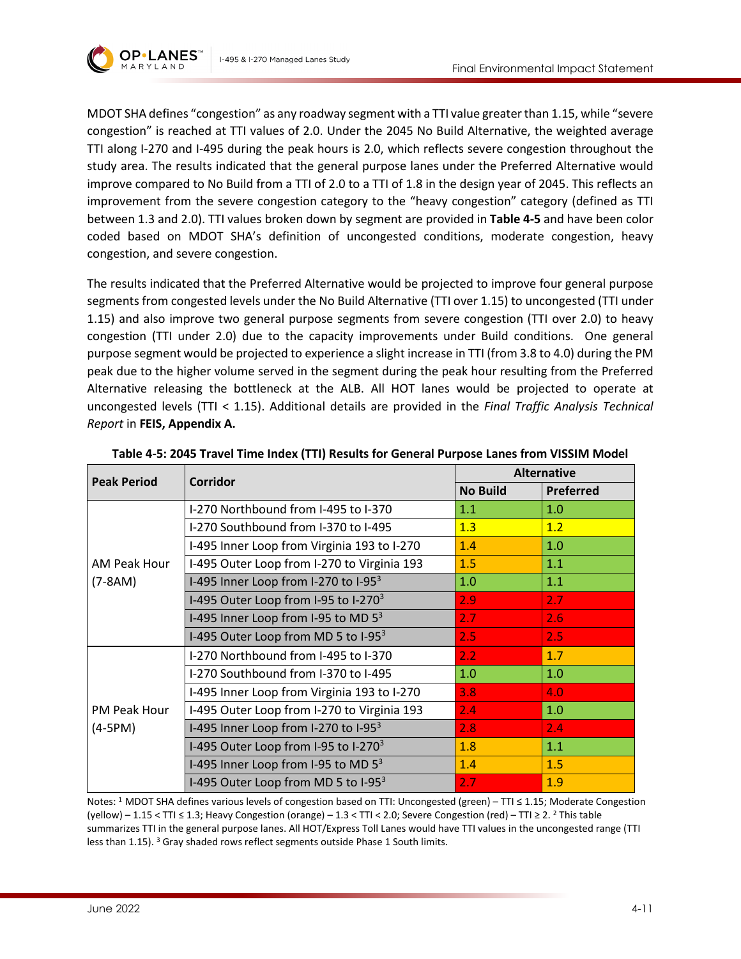

MDOT SHA defines "congestion" as any roadway segment with a TTI value greater than 1.15, while "severe congestion" is reached at TTI values of 2.0. Under the 2045 No Build Alternative, the weighted average TTI along I-270 and I-495 during the peak hours is 2.0, which reflects severe congestion throughout the study area. The results indicated that the general purpose lanes under the Preferred Alternative would improve compared to No Build from a TTI of 2.0 to a TTI of 1.8 in the design year of 2045. This reflects an improvement from the severe congestion category to the "heavy congestion" category (defined as TTI between 1.3 and 2.0). TTI values broken down by segment are provided in **[Table 4-5](#page-10-0)** and have been color coded based on MDOT SHA's definition of uncongested conditions, moderate congestion, heavy congestion, and severe congestion.

The results indicated that the Preferred Alternative would be projected to improve four general purpose segments from congested levels under the No Build Alternative (TTI over 1.15) to uncongested (TTI under 1.15) and also improve two general purpose segments from severe congestion (TTI over 2.0) to heavy congestion (TTI under 2.0) due to the capacity improvements under Build conditions. One general purpose segment would be projected to experience a slight increase in TTI (from 3.8 to 4.0) during the PM peak due to the higher volume served in the segment during the peak hour resulting from the Preferred Alternative releasing the bottleneck at the ALB. All HOT lanes would be projected to operate at uncongested levels (TTI < 1.15). Additional details are provided in the *Final Traffic Analysis Technical Report* in **FEIS, Appendix A.**

<span id="page-10-0"></span>

| <b>Peak Period</b> | Corridor                                         | <b>Alternative</b> |           |  |
|--------------------|--------------------------------------------------|--------------------|-----------|--|
|                    |                                                  | <b>No Build</b>    | Preferred |  |
|                    | I-270 Northbound from I-495 to I-370             | 1.1                | 1.0       |  |
|                    | I-270 Southbound from I-370 to I-495             | 1.3                | 1.2       |  |
|                    | I-495 Inner Loop from Virginia 193 to I-270      | 1.4                | 1.0       |  |
| AM Peak Hour       | I-495 Outer Loop from I-270 to Virginia 193      | 1.5                | 1.1       |  |
| $(7-8AM)$          | I-495 Inner Loop from I-270 to I-95 $^3$         | 1.0                | 1.1       |  |
|                    | I-495 Outer Loop from I-95 to I-270 <sup>3</sup> | 2.9                | 2.7       |  |
|                    | I-495 Inner Loop from I-95 to MD $5^3$           | 2.7                | 2.6       |  |
|                    | I-495 Outer Loop from MD 5 to I-95 <sup>3</sup>  | 2.5                | 2.5       |  |
|                    | I-270 Northbound from I-495 to I-370             | 2.2                | 1.7       |  |
|                    | I-270 Southbound from I-370 to I-495             | 1.0                | 1.0       |  |
|                    | I-495 Inner Loop from Virginia 193 to I-270      | 3.8                | 4.0       |  |
| PM Peak Hour       | I-495 Outer Loop from I-270 to Virginia 193      | 2.4                | 1.0       |  |
| $(4-5PM)$          | I-495 Inner Loop from I-270 to I-95 <sup>3</sup> | 2.8                | 2.4       |  |
|                    | I-495 Outer Loop from I-95 to I-270 <sup>3</sup> | 1.8                | 1.1       |  |
|                    | I-495 Inner Loop from I-95 to MD $5^3$           | 1.4                | 1.5       |  |
|                    | I-495 Outer Loop from MD 5 to I-95 <sup>3</sup>  | 2.7                | 1.9       |  |

|  |  | Table 4-5: 2045 Travel Time Index (TTI) Results for General Purpose Lanes from VISSIM Model |
|--|--|---------------------------------------------------------------------------------------------|
|--|--|---------------------------------------------------------------------------------------------|

Notes: 1 MDOT SHA defines various levels of congestion based on TTI: Uncongested (green) – TTI ≤ 1.15; Moderate Congestion (yellow) – 1.15 < TTI  $\leq$  1.3; Heavy Congestion (orange) – 1.3 < TTI < 2.0; Severe Congestion (red) – TTI  $\geq$  2. <sup>2</sup> This table summarizes TTI in the general purpose lanes. All HOT/Express Toll Lanes would have TTI values in the uncongested range (TTI less than 1.15). <sup>3</sup> Gray shaded rows reflect segments outside Phase 1 South limits.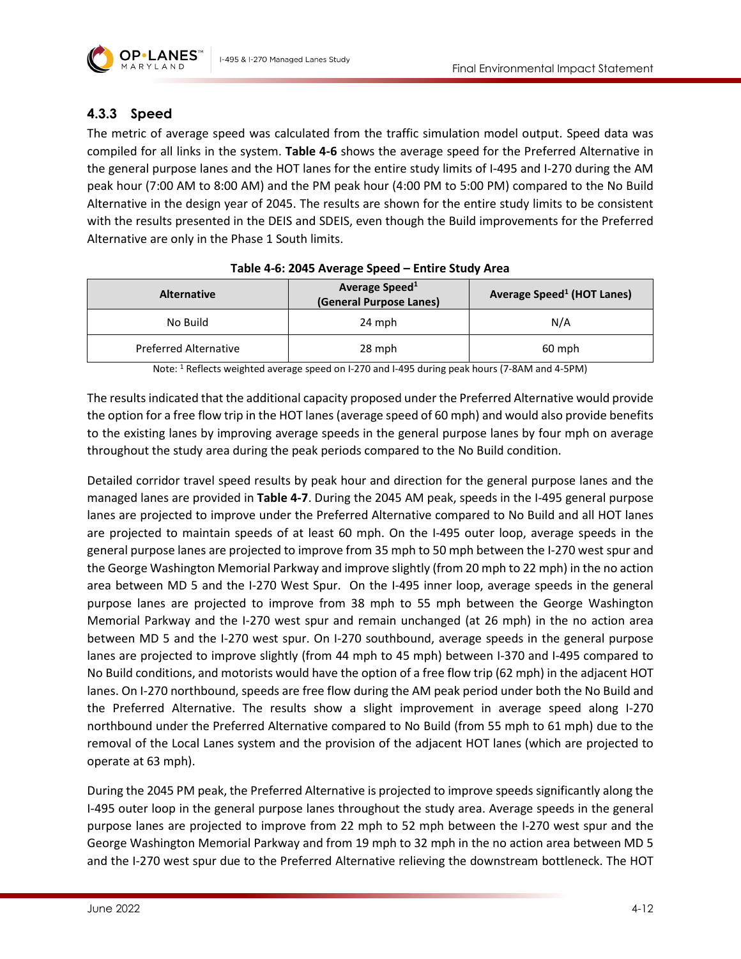

## **4.3.3 Speed**

The metric of average speed was calculated from the traffic simulation model output. Speed data was compiled for all links in the system. **[Table 4-6](#page-11-0)** shows the average speed for the Preferred Alternative in the general purpose lanes and the HOT lanes for the entire study limits of I-495 and I-270 during the AM peak hour (7:00 AM to 8:00 AM) and the PM peak hour (4:00 PM to 5:00 PM) compared to the No Build Alternative in the design year of 2045. The results are shown for the entire study limits to be consistent with the results presented in the DEIS and SDEIS, even though the Build improvements for the Preferred Alternative are only in the Phase 1 South limits.

<span id="page-11-0"></span>

| <b>Alternative</b>           | Average Speed <sup>1</sup><br>(General Purpose Lanes) | <b>Average Speed<sup>1</sup> (HOT Lanes)</b> |  |  |  |
|------------------------------|-------------------------------------------------------|----------------------------------------------|--|--|--|
| No Build                     | 24 mph                                                | N/A                                          |  |  |  |
| <b>Preferred Alternative</b> | 28 mph                                                | 60 mph                                       |  |  |  |

#### **Table 4-6: 2045 Average Speed – Entire Study Area**

Note: 1 Reflects weighted average speed on I-270 and I-495 during peak hours (7-8AM and 4-5PM)

The results indicated that the additional capacity proposed under the Preferred Alternative would provide the option for a free flow trip in the HOT lanes (average speed of 60 mph) and would also provide benefits to the existing lanes by improving average speeds in the general purpose lanes by four mph on average throughout the study area during the peak periods compared to the No Build condition.

Detailed corridor travel speed results by peak hour and direction for the general purpose lanes and the managed lanes are provided in **[Table 4-7](#page-12-0)**. During the 2045 AM peak, speeds in the I-495 general purpose lanes are projected to improve under the Preferred Alternative compared to No Build and all HOT lanes are projected to maintain speeds of at least 60 mph. On the I-495 outer loop, average speeds in the general purpose lanes are projected to improve from 35 mph to 50 mph between the I-270 west spur and the George Washington Memorial Parkway and improve slightly (from 20 mph to 22 mph) in the no action area between MD 5 and the I-270 West Spur. On the I-495 inner loop, average speeds in the general purpose lanes are projected to improve from 38 mph to 55 mph between the George Washington Memorial Parkway and the I-270 west spur and remain unchanged (at 26 mph) in the no action area between MD 5 and the I-270 west spur. On I-270 southbound, average speeds in the general purpose lanes are projected to improve slightly (from 44 mph to 45 mph) between I-370 and I-495 compared to No Build conditions, and motorists would have the option of a free flow trip (62 mph) in the adjacent HOT lanes. On I-270 northbound, speeds are free flow during the AM peak period under both the No Build and the Preferred Alternative. The results show a slight improvement in average speed along I-270 northbound under the Preferred Alternative compared to No Build (from 55 mph to 61 mph) due to the removal of the Local Lanes system and the provision of the adjacent HOT lanes (which are projected to operate at 63 mph).

During the 2045 PM peak, the Preferred Alternative is projected to improve speeds significantly along the I-495 outer loop in the general purpose lanes throughout the study area. Average speeds in the general purpose lanes are projected to improve from 22 mph to 52 mph between the I-270 west spur and the George Washington Memorial Parkway and from 19 mph to 32 mph in the no action area between MD 5 and the I-270 west spur due to the Preferred Alternative relieving the downstream bottleneck. The HOT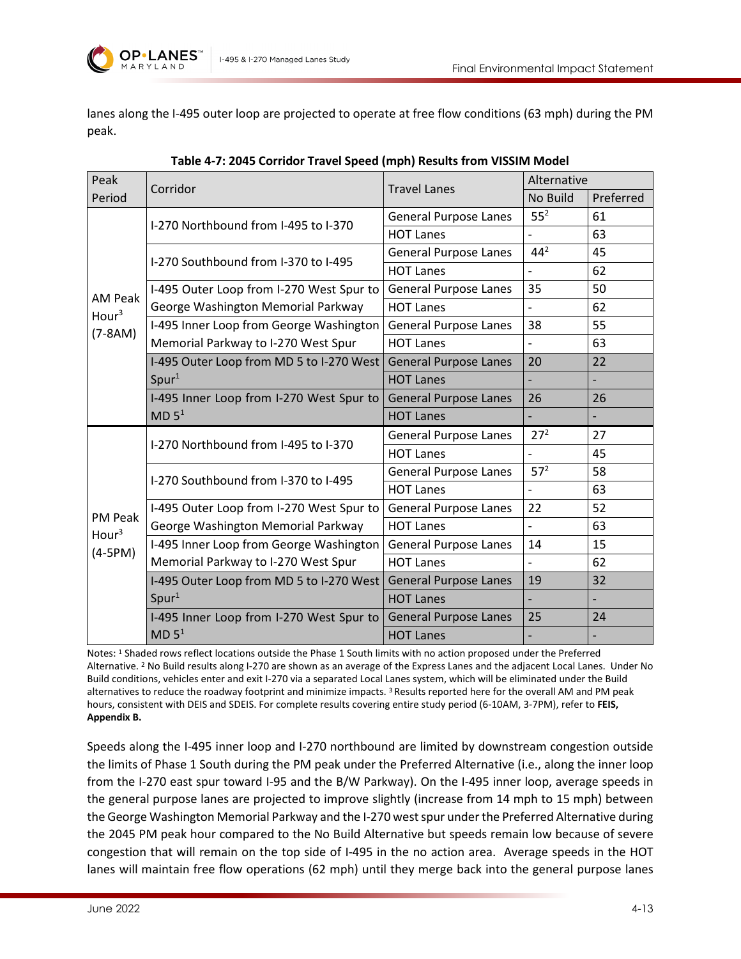

lanes along the I-495 outer loop are projected to operate at free flow conditions (63 mph) during the PM peak.

<span id="page-12-0"></span>

| Peak              | Corridor                                 | <b>Travel Lanes</b>          | Alternative     |           |
|-------------------|------------------------------------------|------------------------------|-----------------|-----------|
| Period            |                                          |                              | No Build        | Preferred |
|                   | I-270 Northbound from I-495 to I-370     | <b>General Purpose Lanes</b> | 55 <sup>2</sup> | 61        |
|                   |                                          | <b>HOT Lanes</b>             |                 | 63        |
|                   | I-270 Southbound from I-370 to I-495     | <b>General Purpose Lanes</b> | 44 <sup>2</sup> | 45        |
|                   |                                          | <b>HOT Lanes</b>             |                 | 62        |
| <b>AM Peak</b>    | I-495 Outer Loop from I-270 West Spur to | <b>General Purpose Lanes</b> | 35              | 50        |
| Hour <sup>3</sup> | George Washington Memorial Parkway       | <b>HOT Lanes</b>             |                 | 62        |
| $(7-8AM)$         | I-495 Inner Loop from George Washington  | <b>General Purpose Lanes</b> | 38              | 55        |
|                   | Memorial Parkway to I-270 West Spur      | <b>HOT Lanes</b>             |                 | 63        |
|                   | I-495 Outer Loop from MD 5 to I-270 West | <b>General Purpose Lanes</b> | 20              | 22        |
|                   | Spur <sup>1</sup>                        | <b>HOT Lanes</b>             |                 |           |
|                   | I-495 Inner Loop from I-270 West Spur to | <b>General Purpose Lanes</b> | 26              | 26        |
|                   | MD 5 <sup>1</sup>                        | <b>HOT Lanes</b>             |                 |           |
|                   | I-270 Northbound from I-495 to I-370     | <b>General Purpose Lanes</b> | 27 <sup>2</sup> | 27        |
|                   |                                          | <b>HOT Lanes</b>             | $\overline{a}$  | 45        |
|                   | I-270 Southbound from I-370 to I-495     | <b>General Purpose Lanes</b> | 57 <sup>2</sup> | 58        |
|                   |                                          | <b>HOT Lanes</b>             | $\overline{a}$  | 63        |
| <b>PM Peak</b>    | I-495 Outer Loop from I-270 West Spur to | <b>General Purpose Lanes</b> | 22              | 52        |
| Hour <sup>3</sup> | George Washington Memorial Parkway       | <b>HOT Lanes</b>             |                 | 63        |
| $(4-5PM)$         | I-495 Inner Loop from George Washington  | <b>General Purpose Lanes</b> | 14              | 15        |
|                   | Memorial Parkway to I-270 West Spur      | <b>HOT Lanes</b>             |                 | 62        |
|                   | I-495 Outer Loop from MD 5 to I-270 West | <b>General Purpose Lanes</b> | 19              | 32        |
|                   | Spur <sup>1</sup>                        | <b>HOT Lanes</b>             |                 |           |
|                   | I-495 Inner Loop from I-270 West Spur to | <b>General Purpose Lanes</b> | 25              | 24        |
|                   | MD 5 <sup>1</sup>                        | <b>HOT Lanes</b>             |                 |           |

Notes: 1 Shaded rows reflect locations outside the Phase 1 South limits with no action proposed under the Preferred Alternative. <sup>2</sup> No Build results along I-270 are shown as an average of the Express Lanes and the adjacent Local Lanes. Under No Build conditions, vehicles enter and exit I-270 via a separated Local Lanes system, which will be eliminated under the Build alternatives to reduce the roadway footprint and minimize impacts.<sup>3</sup> Results reported here for the overall AM and PM peak hours, consistent with DEIS and SDEIS. For complete results covering entire study period (6-10AM, 3-7PM), refer to **FEIS, Appendix B.**

Speeds along the I-495 inner loop and I-270 northbound are limited by downstream congestion outside the limits of Phase 1 South during the PM peak under the Preferred Alternative (i.e., along the inner loop from the I-270 east spur toward I-95 and the B/W Parkway). On the I-495 inner loop, average speeds in the general purpose lanes are projected to improve slightly (increase from 14 mph to 15 mph) between the George Washington Memorial Parkway and the I-270 west spur under the Preferred Alternative during the 2045 PM peak hour compared to the No Build Alternative but speeds remain low because of severe congestion that will remain on the top side of I-495 in the no action area. Average speeds in the HOT lanes will maintain free flow operations (62 mph) until they merge back into the general purpose lanes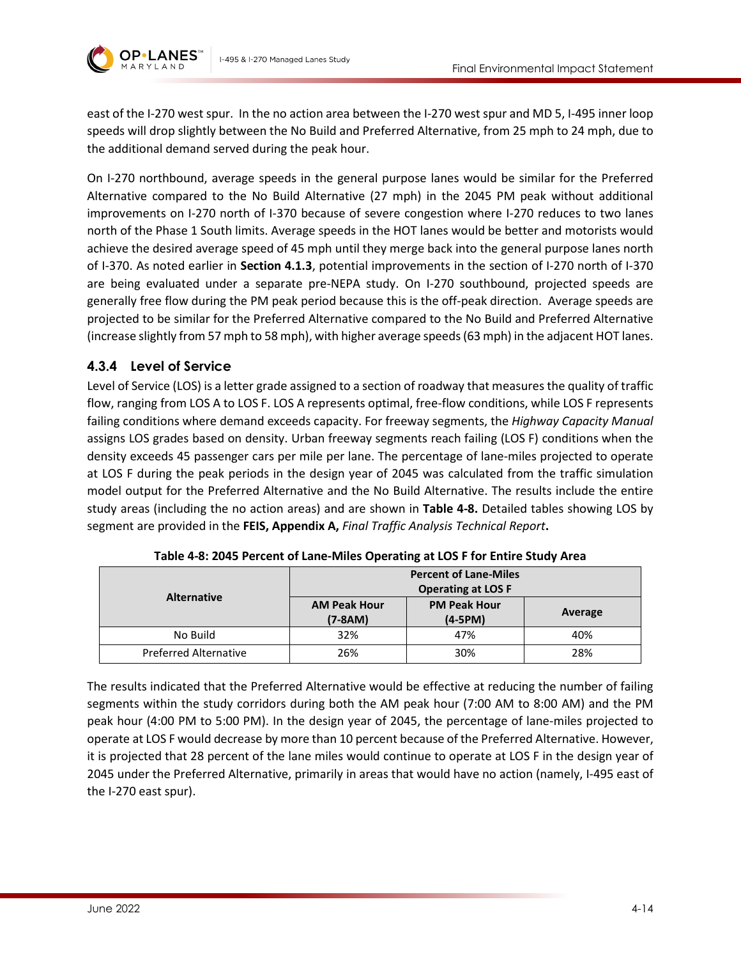

east of the I-270 west spur. In the no action area between the I-270 west spur and MD 5, I-495 inner loop speeds will drop slightly between the No Build and Preferred Alternative, from 25 mph to 24 mph, due to the additional demand served during the peak hour.

On I-270 northbound, average speeds in the general purpose lanes would be similar for the Preferred Alternative compared to the No Build Alternative (27 mph) in the 2045 PM peak without additional improvements on I-270 north of I-370 because of severe congestion where I-270 reduces to two lanes north of the Phase 1 South limits. Average speeds in the HOT lanes would be better and motorists would achieve the desired average speed of 45 mph until they merge back into the general purpose lanes north of I-370. As noted earlier in **Section [4.1.3](#page-2-0)**, potential improvements in the section of I-270 north of I-370 are being evaluated under a separate pre-NEPA study. On I-270 southbound, projected speeds are generally free flow during the PM peak period because this is the off-peak direction. Average speeds are projected to be similar for the Preferred Alternative compared to the No Build and Preferred Alternative (increase slightly from 57 mph to 58 mph), with higher average speeds (63 mph) in the adjacent HOT lanes.

### **4.3.4 Level of Service**

Level of Service (LOS) is a letter grade assigned to a section of roadway that measures the quality of traffic flow, ranging from LOS A to LOS F. LOS A represents optimal, free-flow conditions, while LOS F represents failing conditions where demand exceeds capacity. For freeway segments, the *Highway Capacity Manual* assigns LOS grades based on density. Urban freeway segments reach failing (LOS F) conditions when the density exceeds 45 passenger cars per mile per lane. The percentage of lane-miles projected to operate at LOS F during the peak periods in the design year of 2045 was calculated from the traffic simulation model output for the Preferred Alternative and the No Build Alternative. The results include the entire study areas (including the no action areas) and are shown in **[Table 4-8.](#page-13-0)** Detailed tables showing LOS by segment are provided in the **FEIS, Appendix A,** *Final Traffic Analysis Technical Report***.**

<span id="page-13-0"></span>

|                              | <b>Percent of Lane-Miles</b> |                     |         |  |
|------------------------------|------------------------------|---------------------|---------|--|
|                              | <b>Operating at LOS F</b>    |                     |         |  |
| <b>Alternative</b>           | <b>AM Peak Hour</b>          | <b>PM Peak Hour</b> |         |  |
|                              | $(7-8AM)$                    | $(4-5PM)$           | Average |  |
| No Build                     | 32%                          | 47%                 | 40%     |  |
| <b>Preferred Alternative</b> | 26%                          | 30%                 | 28%     |  |

**Table 4-8: 2045 Percent of Lane-Miles Operating at LOS F for Entire Study Area**

The results indicated that the Preferred Alternative would be effective at reducing the number of failing segments within the study corridors during both the AM peak hour (7:00 AM to 8:00 AM) and the PM peak hour (4:00 PM to 5:00 PM). In the design year of 2045, the percentage of lane-miles projected to operate at LOS F would decrease by more than 10 percent because of the Preferred Alternative. However, it is projected that 28 percent of the lane miles would continue to operate at LOS F in the design year of 2045 under the Preferred Alternative, primarily in areas that would have no action (namely, I-495 east of the I-270 east spur).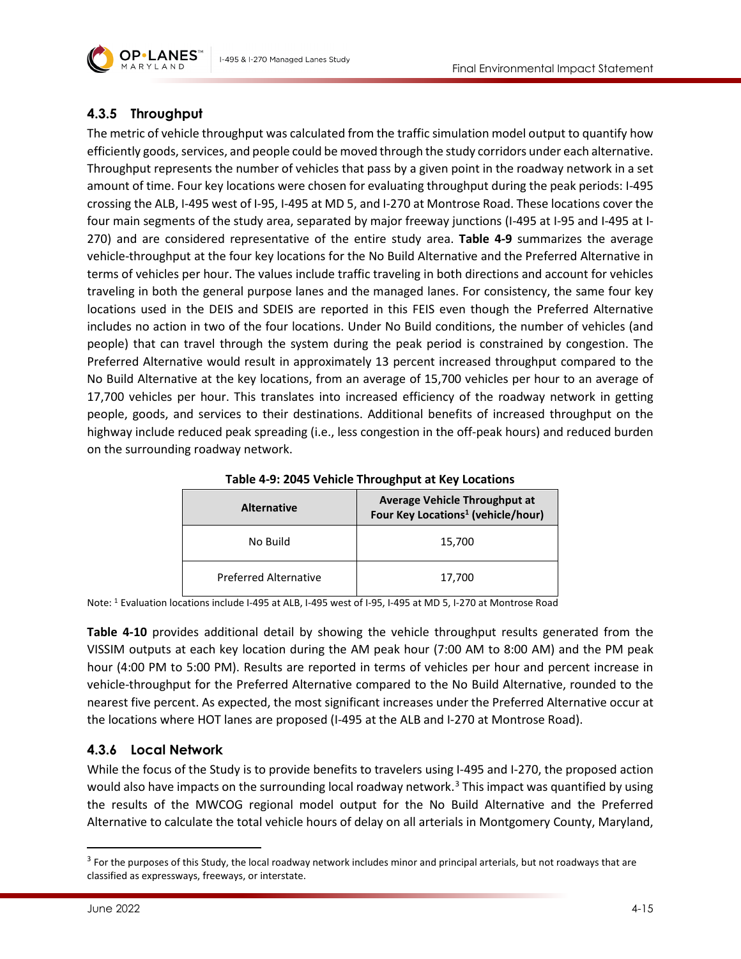

## **4.3.5 Throughput**

The metric of vehicle throughput was calculated from the traffic simulation model output to quantify how efficiently goods, services, and people could be moved through the study corridors under each alternative. Throughput represents the number of vehicles that pass by a given point in the roadway network in a set amount of time. Four key locations were chosen for evaluating throughput during the peak periods: I-495 crossing the ALB, I-495 west of I-95, I-495 at MD 5, and I-270 at Montrose Road. These locations cover the four main segments of the study area, separated by major freeway junctions (I-495 at I-95 and I-495 at I-270) and are considered representative of the entire study area. **[Table 4-9](#page-14-0)** summarizes the average vehicle-throughput at the four key locations for the No Build Alternative and the Preferred Alternative in terms of vehicles per hour. The values include traffic traveling in both directions and account for vehicles traveling in both the general purpose lanes and the managed lanes. For consistency, the same four key locations used in the DEIS and SDEIS are reported in this FEIS even though the Preferred Alternative includes no action in two of the four locations. Under No Build conditions, the number of vehicles (and people) that can travel through the system during the peak period is constrained by congestion. The Preferred Alternative would result in approximately 13 percent increased throughput compared to the No Build Alternative at the key locations, from an average of 15,700 vehicles per hour to an average of 17,700 vehicles per hour. This translates into increased efficiency of the roadway network in getting people, goods, and services to their destinations. Additional benefits of increased throughput on the highway include reduced peak spreading (i.e., less congestion in the off-peak hours) and reduced burden on the surrounding roadway network.

<span id="page-14-0"></span>

| <b>Alternative</b>           | Average Vehicle Throughput at<br>Four Key Locations <sup>1</sup> (vehicle/hour) |  |
|------------------------------|---------------------------------------------------------------------------------|--|
| No Build                     | 15,700                                                                          |  |
| <b>Preferred Alternative</b> | 17,700                                                                          |  |

**Table 4-9: 2045 Vehicle Throughput at Key Locations**

Note: 1 Evaluation locations include I-495 at ALB, I-495 west of I-95, I-495 at MD 5, I-270 at Montrose Road

**[Table 4-10](#page-15-0)** provides additional detail by showing the vehicle throughput results generated from the VISSIM outputs at each key location during the AM peak hour (7:00 AM to 8:00 AM) and the PM peak hour (4:00 PM to 5:00 PM). Results are reported in terms of vehicles per hour and percent increase in vehicle-throughput for the Preferred Alternative compared to the No Build Alternative, rounded to the nearest five percent. As expected, the most significant increases under the Preferred Alternative occur at the locations where HOT lanes are proposed (I-495 at the ALB and I-270 at Montrose Road).

### **4.3.6 Local Network**

While the focus of the Study is to provide benefits to travelers using I-495 and I-270, the proposed action would also have impacts on the surrounding local roadway network.<sup>[3](#page-14-1)</sup> This impact was quantified by using the results of the MWCOG regional model output for the No Build Alternative and the Preferred Alternative to calculate the total vehicle hours of delay on all arterials in Montgomery County, Maryland,

<span id="page-14-1"></span><sup>&</sup>lt;sup>3</sup> For the purposes of this Study, the local roadway network includes minor and principal arterials, but not roadways that are classified as expressways, freeways, or interstate.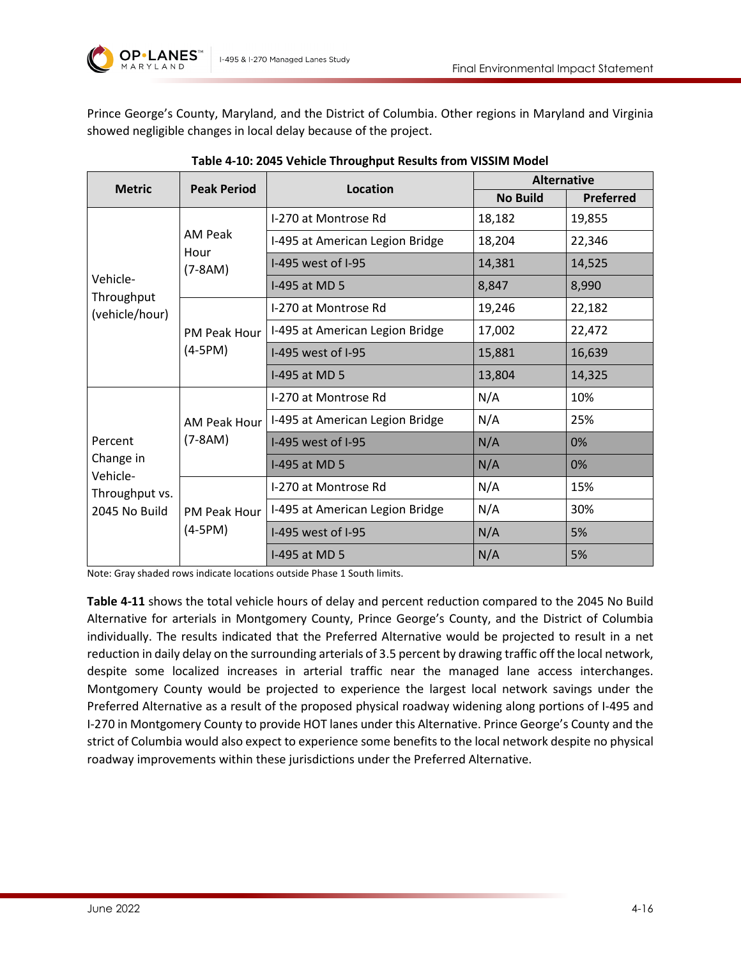

Prince George's County, Maryland, and the District of Columbia. Other regions in Maryland and Virginia showed negligible changes in local delay because of the project.

<span id="page-15-0"></span>

| <b>Peak Period</b><br><b>Metric</b>                                                           | Location            | <b>Alternative</b>              |                 |                  |
|-----------------------------------------------------------------------------------------------|---------------------|---------------------------------|-----------------|------------------|
|                                                                                               |                     |                                 | <b>No Build</b> | <b>Preferred</b> |
| AM Peak<br>Hour<br>$(7-8AM)$<br>Vehicle-<br>Throughput<br>(vehicle/hour)<br>$(4-5PM)$         |                     | I-270 at Montrose Rd            | 18,182          | 19,855           |
|                                                                                               |                     | I-495 at American Legion Bridge | 18,204          | 22,346           |
|                                                                                               |                     | I-495 west of I-95              | 14,381          | 14,525           |
|                                                                                               |                     | I-495 at MD 5                   | 8,847           | 8,990            |
|                                                                                               |                     | I-270 at Montrose Rd            | 19,246          | 22,182           |
|                                                                                               | <b>PM Peak Hour</b> | I-495 at American Legion Bridge | 17,002          | 22,472           |
|                                                                                               |                     | I-495 west of I-95              | 15,881          | 16,639           |
|                                                                                               |                     | I-495 at MD 5                   | 13,804          | 14,325           |
| $(7-8AM)$<br>Percent<br>Change in<br>Vehicle-<br>Throughput vs.<br>2045 No Build<br>$(4-5PM)$ |                     | I-270 at Montrose Rd            | N/A             | 10%              |
|                                                                                               | AM Peak Hour        | I-495 at American Legion Bridge | N/A             | 25%              |
|                                                                                               |                     | I-495 west of I-95              | N/A             | 0%               |
|                                                                                               |                     | I-495 at MD 5                   | N/A             | 0%               |
|                                                                                               | <b>PM Peak Hour</b> | I-270 at Montrose Rd            | N/A             | 15%              |
|                                                                                               |                     | I-495 at American Legion Bridge | N/A             | 30%              |
|                                                                                               |                     | I-495 west of I-95              | N/A             | 5%               |
|                                                                                               |                     | I-495 at MD 5                   | N/A             | 5%               |

|  | Table 4-10: 2045 Vehicle Throughput Results from VISSIM Model |  |
|--|---------------------------------------------------------------|--|
|--|---------------------------------------------------------------|--|

Note: Gray shaded rows indicate locations outside Phase 1 South limits.

<span id="page-15-1"></span>**[Table 4-11](#page-15-1)** shows the total vehicle hours of delay and percent reduction compared to the 2045 No Build Alternative for arterials in Montgomery County, Prince George's County, and the District of Columbia individually. The results indicated that the Preferred Alternative would be projected to result in a net reduction in daily delay on the surrounding arterials of 3.5 percent by drawing traffic off the local network, despite some localized increases in arterial traffic near the managed lane access interchanges. Montgomery County would be projected to experience the largest local network savings under the Preferred Alternative as a result of the proposed physical roadway widening along portions of I-495 and I-270 in Montgomery County to provide HOT lanes under this Alternative. Prince George's County and the strict of Columbia would also expect to experience some benefits to the local network despite no physical roadway improvements within these jurisdictions under the Preferred Alternative.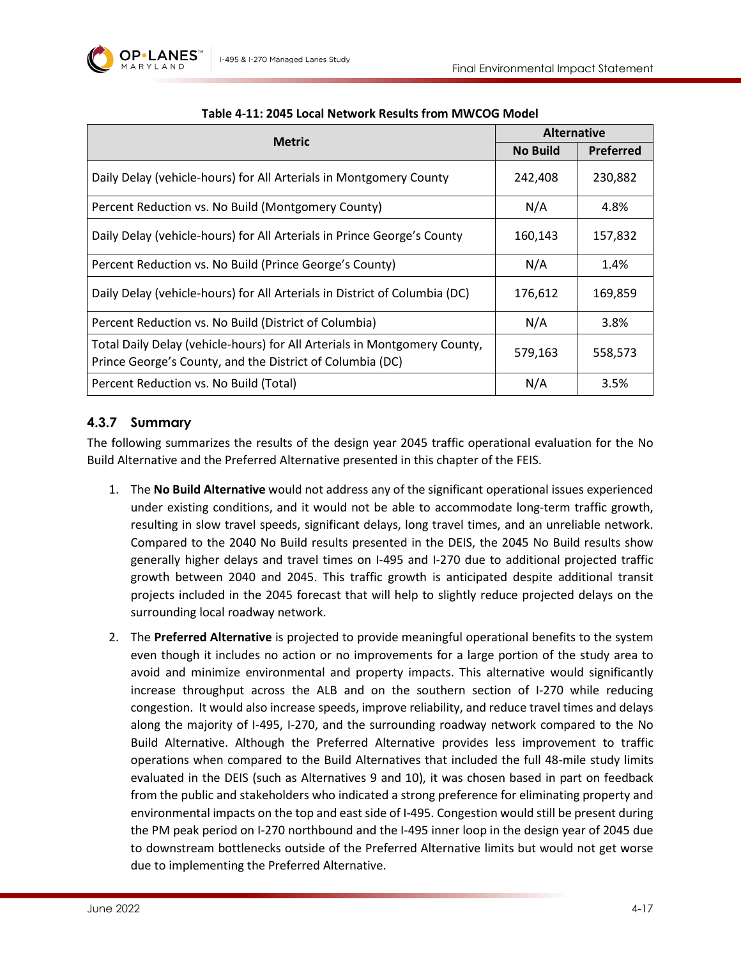

| <b>Metric</b>                                                                                                                          | <b>Alternative</b> |                  |
|----------------------------------------------------------------------------------------------------------------------------------------|--------------------|------------------|
|                                                                                                                                        | <b>No Build</b>    | <b>Preferred</b> |
| Daily Delay (vehicle-hours) for All Arterials in Montgomery County                                                                     | 242,408            | 230,882          |
| Percent Reduction vs. No Build (Montgomery County)                                                                                     | N/A                | 4.8%             |
| Daily Delay (vehicle-hours) for All Arterials in Prince George's County                                                                | 160,143            | 157,832          |
| Percent Reduction vs. No Build (Prince George's County)                                                                                | N/A                | 1.4%             |
| Daily Delay (vehicle-hours) for All Arterials in District of Columbia (DC)                                                             | 176,612            | 169,859          |
| Percent Reduction vs. No Build (District of Columbia)                                                                                  | N/A                | 3.8%             |
| Total Daily Delay (vehicle-hours) for All Arterials in Montgomery County,<br>Prince George's County, and the District of Columbia (DC) | 579,163            | 558,573          |
| Percent Reduction vs. No Build (Total)                                                                                                 | N/A                | 3.5%             |

#### **Table 4-11: 2045 Local Network Results from MWCOG Model**

#### **4.3.7 Summary**

The following summarizes the results of the design year 2045 traffic operational evaluation for the No Build Alternative and the Preferred Alternative presented in this chapter of the FEIS.

- 1. The **No Build Alternative** would not address any of the significant operational issues experienced under existing conditions, and it would not be able to accommodate long-term traffic growth, resulting in slow travel speeds, significant delays, long travel times, and an unreliable network. Compared to the 2040 No Build results presented in the DEIS, the 2045 No Build results show generally higher delays and travel times on I-495 and I-270 due to additional projected traffic growth between 2040 and 2045. This traffic growth is anticipated despite additional transit projects included in the 2045 forecast that will help to slightly reduce projected delays on the surrounding local roadway network.
- 2. The **Preferred Alternative** is projected to provide meaningful operational benefits to the system even though it includes no action or no improvements for a large portion of the study area to avoid and minimize environmental and property impacts. This alternative would significantly increase throughput across the ALB and on the southern section of I-270 while reducing congestion. It would also increase speeds, improve reliability, and reduce travel times and delays along the majority of I-495, I-270, and the surrounding roadway network compared to the No Build Alternative. Although the Preferred Alternative provides less improvement to traffic operations when compared to the Build Alternatives that included the full 48-mile study limits evaluated in the DEIS (such as Alternatives 9 and 10), it was chosen based in part on feedback from the public and stakeholders who indicated a strong preference for eliminating property and environmental impacts on the top and east side of I-495. Congestion would still be present during the PM peak period on I-270 northbound and the I-495 inner loop in the design year of 2045 due to downstream bottlenecks outside of the Preferred Alternative limits but would not get worse due to implementing the Preferred Alternative.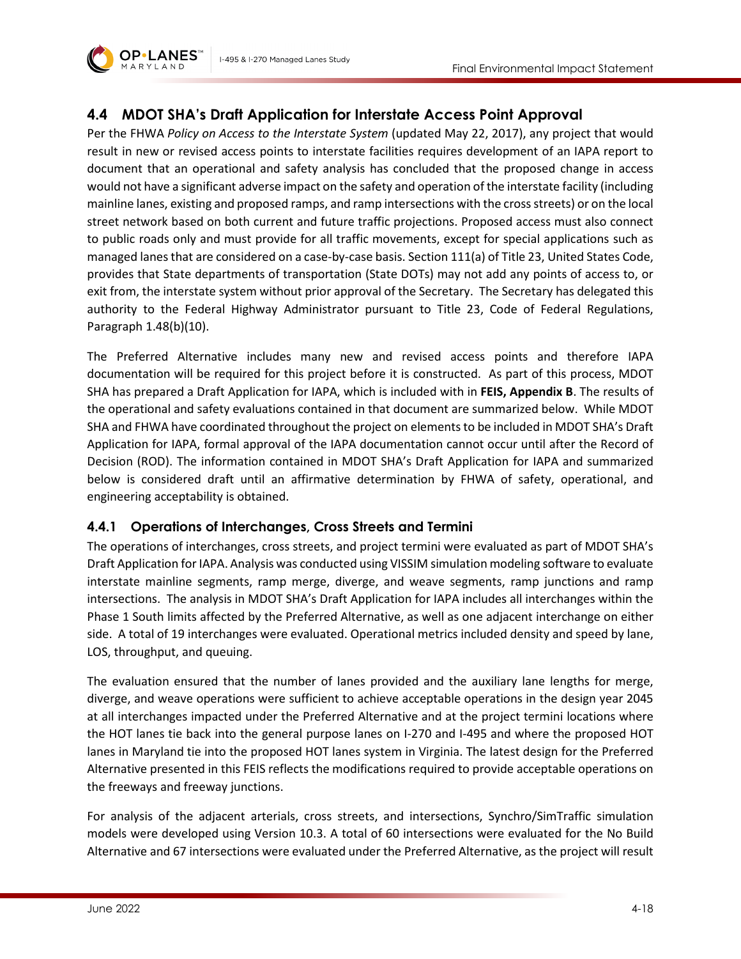

## **4.4 MDOT SHA's Draft Application for Interstate Access Point Approval**

Per the FHWA *Policy on Access to the Interstate System* (updated May 22, 2017), any project that would result in new or revised access points to interstate facilities requires development of an IAPA report to document that an operational and safety analysis has concluded that the proposed change in access would not have a significant adverse impact on the safety and operation of the interstate facility (including mainline lanes, existing and proposed ramps, and ramp intersections with the crossstreets) or on the local street network based on both current and future traffic projections. Proposed access must also connect to public roads only and must provide for all traffic movements, except for special applications such as managed lanes that are considered on a case-by-case basis. Section 111(a) of Title 23, United States Code, provides that State departments of transportation (State DOTs) may not add any points of access to, or exit from, the interstate system without prior approval of the Secretary. The Secretary has delegated this authority to the Federal Highway Administrator pursuant to Title 23, Code of Federal Regulations, Paragraph 1.48(b)(10).

The Preferred Alternative includes many new and revised access points and therefore IAPA documentation will be required for this project before it is constructed. As part of this process, MDOT SHA has prepared a Draft Application for IAPA, which is included with in **FEIS, Appendix B**. The results of the operational and safety evaluations contained in that document are summarized below. While MDOT SHA and FHWA have coordinated throughout the project on elements to be included in MDOT SHA's Draft Application for IAPA, formal approval of the IAPA documentation cannot occur until after the Record of Decision (ROD). The information contained in MDOT SHA's Draft Application for IAPA and summarized below is considered draft until an affirmative determination by FHWA of safety, operational, and engineering acceptability is obtained.

### <span id="page-17-0"></span>**4.4.1 Operations of Interchanges, Cross Streets and Termini**

The operations of interchanges, cross streets, and project termini were evaluated as part of MDOT SHA's Draft Application for IAPA. Analysis was conducted using VISSIM simulation modeling software to evaluate interstate mainline segments, ramp merge, diverge, and weave segments, ramp junctions and ramp intersections. The analysis in MDOT SHA's Draft Application for IAPA includes all interchanges within the Phase 1 South limits affected by the Preferred Alternative, as well as one adjacent interchange on either side. A total of 19 interchanges were evaluated. Operational metrics included density and speed by lane, LOS, throughput, and queuing.

The evaluation ensured that the number of lanes provided and the auxiliary lane lengths for merge, diverge, and weave operations were sufficient to achieve acceptable operations in the design year 2045 at all interchanges impacted under the Preferred Alternative and at the project termini locations where the HOT lanes tie back into the general purpose lanes on I-270 and I-495 and where the proposed HOT lanes in Maryland tie into the proposed HOT lanes system in Virginia. The latest design for the Preferred Alternative presented in this FEIS reflects the modifications required to provide acceptable operations on the freeways and freeway junctions.

For analysis of the adjacent arterials, cross streets, and intersections, Synchro/SimTraffic simulation models were developed using Version 10.3. A total of 60 intersections were evaluated for the No Build Alternative and 67 intersections were evaluated under the Preferred Alternative, as the project will result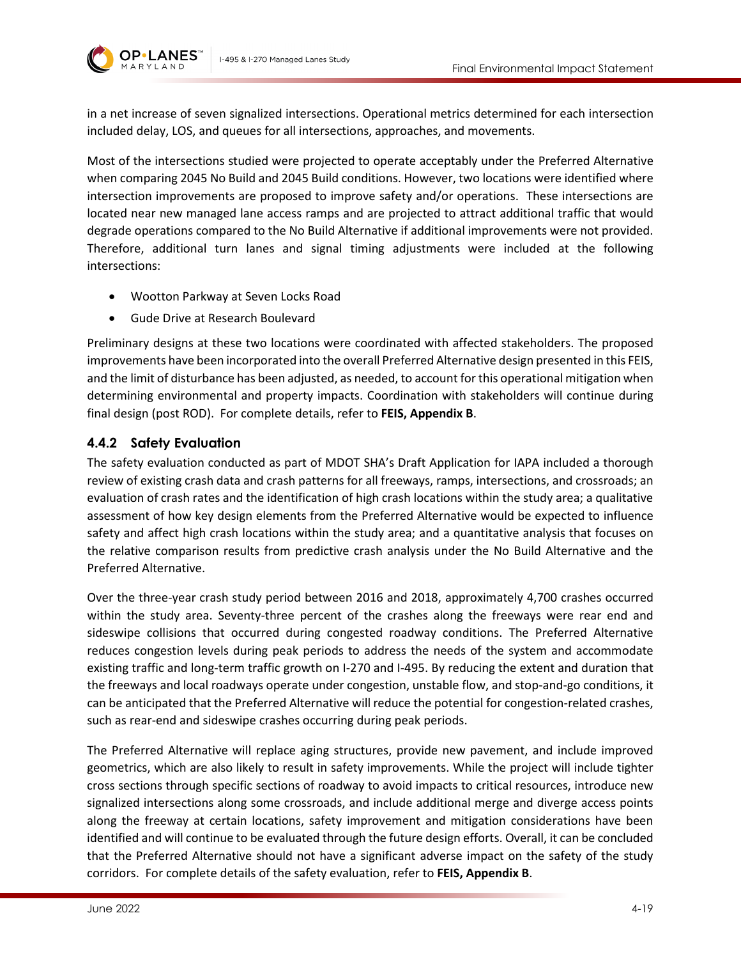

in a net increase of seven signalized intersections. Operational metrics determined for each intersection included delay, LOS, and queues for all intersections, approaches, and movements.

Most of the intersections studied were projected to operate acceptably under the Preferred Alternative when comparing 2045 No Build and 2045 Build conditions. However, two locations were identified where intersection improvements are proposed to improve safety and/or operations. These intersections are located near new managed lane access ramps and are projected to attract additional traffic that would degrade operations compared to the No Build Alternative if additional improvements were not provided. Therefore, additional turn lanes and signal timing adjustments were included at the following intersections:

- Wootton Parkway at Seven Locks Road
- Gude Drive at Research Boulevard

Preliminary designs at these two locations were coordinated with affected stakeholders. The proposed improvements have been incorporated into the overall Preferred Alternative design presented in this FEIS, and the limit of disturbance has been adjusted, as needed, to account for this operational mitigation when determining environmental and property impacts. Coordination with stakeholders will continue during final design (post ROD). For complete details, refer to **FEIS, Appendix B**.

## <span id="page-18-0"></span>**4.4.2 Safety Evaluation**

The safety evaluation conducted as part of MDOT SHA's Draft Application for IAPA included a thorough review of existing crash data and crash patterns for all freeways, ramps, intersections, and crossroads; an evaluation of crash rates and the identification of high crash locations within the study area; a qualitative assessment of how key design elements from the Preferred Alternative would be expected to influence safety and affect high crash locations within the study area; and a quantitative analysis that focuses on the relative comparison results from predictive crash analysis under the No Build Alternative and the Preferred Alternative.

Over the three-year crash study period between 2016 and 2018, approximately 4,700 crashes occurred within the study area. Seventy-three percent of the crashes along the freeways were rear end and sideswipe collisions that occurred during congested roadway conditions. The Preferred Alternative reduces congestion levels during peak periods to address the needs of the system and accommodate existing traffic and long-term traffic growth on I-270 and I-495. By reducing the extent and duration that the freeways and local roadways operate under congestion, unstable flow, and stop-and-go conditions, it can be anticipated that the Preferred Alternative will reduce the potential for congestion-related crashes, such as rear-end and sideswipe crashes occurring during peak periods.

The Preferred Alternative will replace aging structures, provide new pavement, and include improved geometrics, which are also likely to result in safety improvements. While the project will include tighter cross sections through specific sections of roadway to avoid impacts to critical resources, introduce new signalized intersections along some crossroads, and include additional merge and diverge access points along the freeway at certain locations, safety improvement and mitigation considerations have been identified and will continue to be evaluated through the future design efforts. Overall, it can be concluded that the Preferred Alternative should not have a significant adverse impact on the safety of the study corridors. For complete details of the safety evaluation, refer to **FEIS, Appendix B**.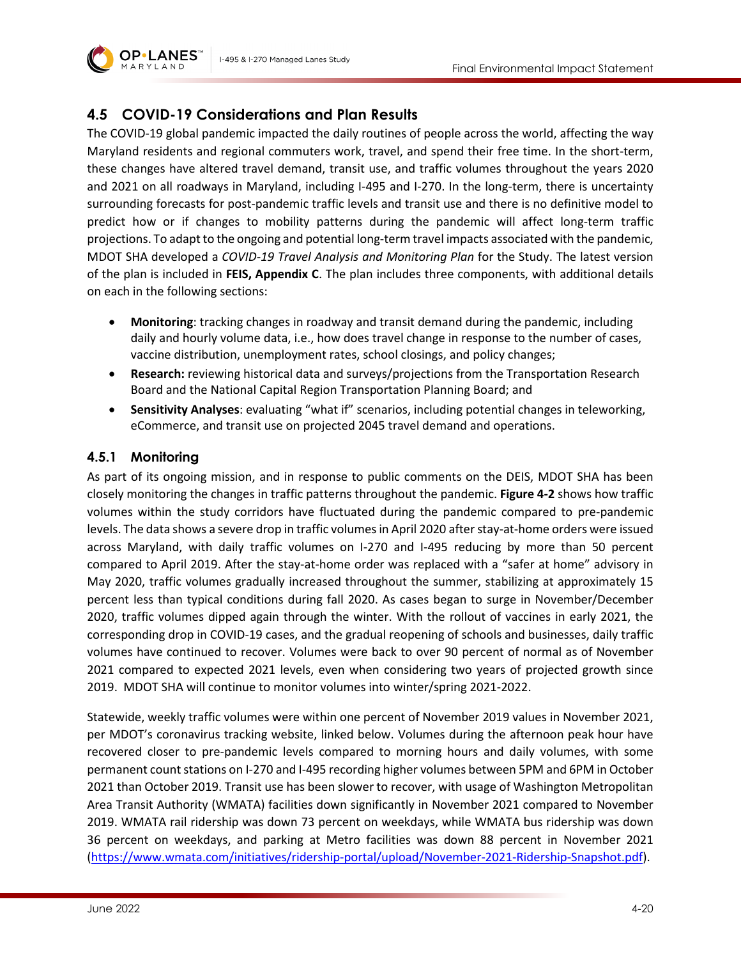

# <span id="page-19-0"></span>**4.5 COVID-19 Considerations and Plan Results**

The COVID-19 global pandemic impacted the daily routines of people across the world, affecting the way Maryland residents and regional commuters work, travel, and spend their free time. In the short-term, these changes have altered travel demand, transit use, and traffic volumes throughout the years 2020 and 2021 on all roadways in Maryland, including I-495 and I-270. In the long-term, there is uncertainty surrounding forecasts for post-pandemic traffic levels and transit use and there is no definitive model to predict how or if changes to mobility patterns during the pandemic will affect long-term traffic projections. To adapt to the ongoing and potential long-term travel impacts associated with the pandemic, MDOT SHA developed a *COVID-19 Travel Analysis and Monitoring Plan* for the Study. The latest version of the plan is included in **FEIS, Appendix C**. The plan includes three components, with additional details on each in the following sections:

- **Monitoring**: tracking changes in roadway and transit demand during the pandemic, including daily and hourly volume data, i.e., how does travel change in response to the number of cases, vaccine distribution, unemployment rates, school closings, and policy changes;
- **Research:** reviewing historical data and surveys/projections from the Transportation Research Board and the National Capital Region Transportation Planning Board; and
- **Sensitivity Analyses**: evaluating "what if" scenarios, including potential changes in teleworking, eCommerce, and transit use on projected 2045 travel demand and operations.

### **4.5.1 Monitoring**

As part of its ongoing mission, and in response to public comments on the DEIS, MDOT SHA has been closely monitoring the changes in traffic patterns throughout the pandemic. **[Figure 4-2](#page-20-0)** shows how traffic volumes within the study corridors have fluctuated during the pandemic compared to pre-pandemic levels. The data shows a severe drop in traffic volumes in April 2020 after stay-at-home orders were issued across Maryland, with daily traffic volumes on I-270 and I-495 reducing by more than 50 percent compared to April 2019. After the stay-at-home order was replaced with a "safer at home" advisory in May 2020, traffic volumes gradually increased throughout the summer, stabilizing at approximately 15 percent less than typical conditions during fall 2020. As cases began to surge in November/December 2020, traffic volumes dipped again through the winter. With the rollout of vaccines in early 2021, the corresponding drop in COVID-19 cases, and the gradual reopening of schools and businesses, daily traffic volumes have continued to recover. Volumes were back to over 90 percent of normal as of November 2021 compared to expected 2021 levels, even when considering two years of projected growth since 2019. MDOT SHA will continue to monitor volumes into winter/spring 2021-2022.

Statewide, weekly traffic volumes were within one percent of November 2019 values in November 2021, per MDOT's coronavirus tracking website, linked below. Volumes during the afternoon peak hour have recovered closer to pre-pandemic levels compared to morning hours and daily volumes, with some permanent count stations on I-270 and I-495 recording higher volumes between 5PM and 6PM in October 2021 than October 2019. Transit use has been slower to recover, with usage of Washington Metropolitan Area Transit Authority (WMATA) facilities down significantly in November 2021 compared to November 2019. WMATA rail ridership was down 73 percent on weekdays, while WMATA bus ridership was down 36 percent on weekdays, and parking at Metro facilities was down 88 percent in November 2021 [\(https://www.wmata.com/initiatives/ridership-portal/upload/November-2021-Ridership-Snapshot.pdf\)](https://www.wmata.com/initiatives/ridership-portal/upload/November-2021-Ridership-Snapshot.pdf).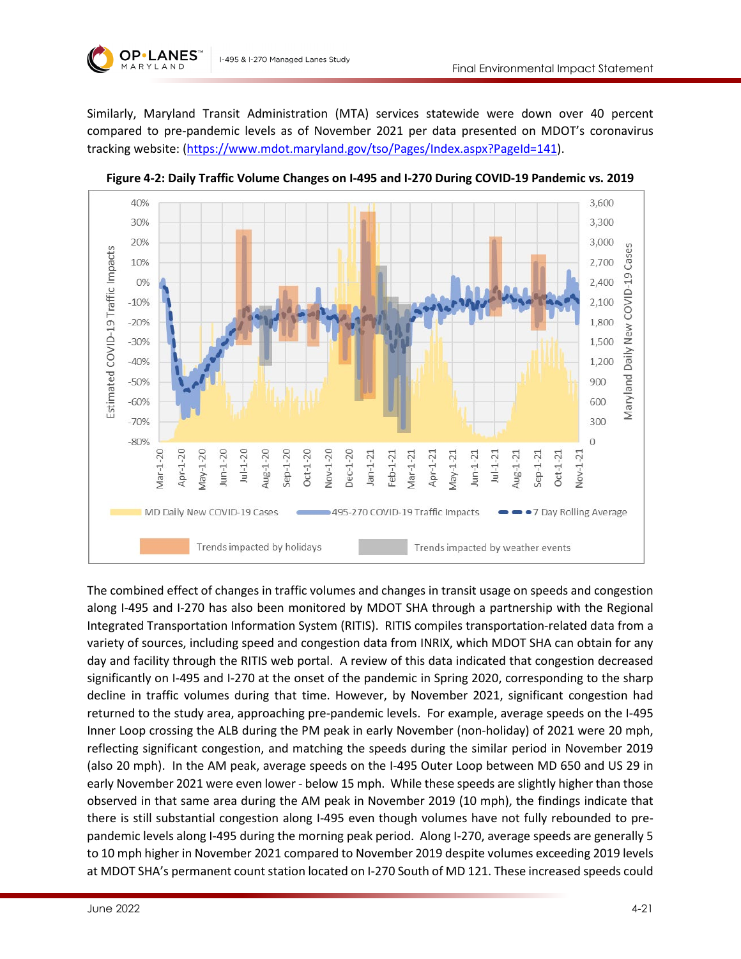

Similarly, Maryland Transit Administration (MTA) services statewide were down over 40 percent compared to pre-pandemic levels as of November 2021 per data presented on MDOT's coronavirus tracking website: [\(https://www.mdot.maryland.gov/tso/Pages/Index.aspx?PageId=141\)](https://www.mdot.maryland.gov/tso/Pages/Index.aspx?PageId=141).



<span id="page-20-0"></span>**Figure 4-2: Daily Traffic Volume Changes on I-495 and I-270 During COVID-19 Pandemic vs. 2019**

The combined effect of changes in traffic volumes and changes in transit usage on speeds and congestion along I-495 and I-270 has also been monitored by MDOT SHA through a partnership with the Regional Integrated Transportation Information System (RITIS). RITIS compiles transportation-related data from a variety of sources, including speed and congestion data from INRIX, which MDOT SHA can obtain for any day and facility through the RITIS web portal. A review of this data indicated that congestion decreased significantly on I-495 and I-270 at the onset of the pandemic in Spring 2020, corresponding to the sharp decline in traffic volumes during that time. However, by November 2021, significant congestion had returned to the study area, approaching pre-pandemic levels. For example, average speeds on the I-495 Inner Loop crossing the ALB during the PM peak in early November (non-holiday) of 2021 were 20 mph, reflecting significant congestion, and matching the speeds during the similar period in November 2019 (also 20 mph). In the AM peak, average speeds on the I-495 Outer Loop between MD 650 and US 29 in early November 2021 were even lower - below 15 mph. While these speeds are slightly higher than those observed in that same area during the AM peak in November 2019 (10 mph), the findings indicate that there is still substantial congestion along I-495 even though volumes have not fully rebounded to prepandemic levels along I-495 during the morning peak period. Along I-270, average speeds are generally 5 to 10 mph higher in November 2021 compared to November 2019 despite volumes exceeding 2019 levels at MDOT SHA's permanent count station located on I-270 South of MD 121. These increased speeds could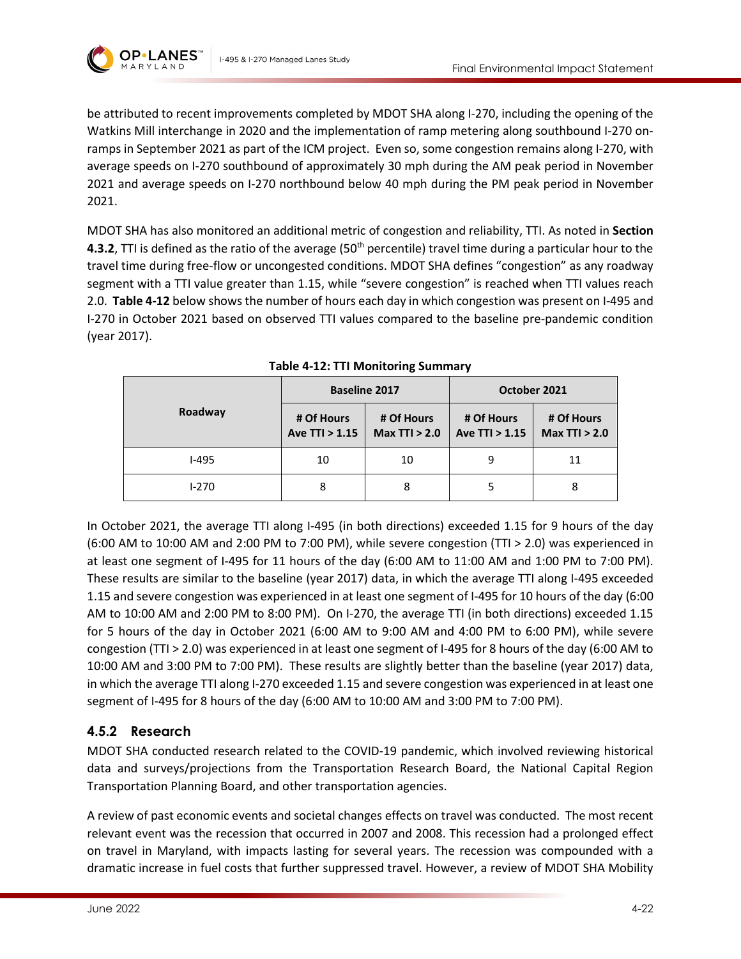



be attributed to recent improvements completed by MDOT SHA along I-270, including the opening of the Watkins Mill interchange in 2020 and the implementation of ramp metering along southbound I-270 onramps in September 2021 as part of the ICM project. Even so, some congestion remains along I-270, with average speeds on I-270 southbound of approximately 30 mph during the AM peak period in November 2021 and average speeds on I-270 northbound below 40 mph during the PM peak period in November 2021.

MDOT SHA has also monitored an additional metric of congestion and reliability, TTI. As noted in **Section [4.3.2](#page-9-2)**, TTI is defined as the ratio of the average (50<sup>th</sup> percentile) travel time during a particular hour to the travel time during free-flow or uncongested conditions. MDOT SHA defines "congestion" as any roadway segment with a TTI value greater than 1.15, while "severe congestion" is reached when TTI values reach 2.0. **[Table 4-12](#page-21-0)** below shows the number of hours each day in which congestion was present on I-495 and I-270 in October 2021 based on observed TTI values compared to the baseline pre-pandemic condition (year 2017).

<span id="page-21-0"></span>

| Roadway      | <b>Baseline 2017</b>         |                               | October 2021                   |                               |
|--------------|------------------------------|-------------------------------|--------------------------------|-------------------------------|
|              | # Of Hours<br>Ave TTI > 1.15 | # Of Hours<br>Max $TTI > 2.0$ | # Of Hours<br>Ave $TTI > 1.15$ | # Of Hours<br>Max $TTI > 2.0$ |
| <b>I-495</b> | 10                           | 10                            | 9                              | 11                            |
| $1 - 270$    | 8                            | 8                             |                                | 8                             |

**Table 4-12: TTI Monitoring Summary**

In October 2021, the average TTI along I-495 (in both directions) exceeded 1.15 for 9 hours of the day (6:00 AM to 10:00 AM and 2:00 PM to 7:00 PM), while severe congestion (TTI > 2.0) was experienced in at least one segment of I-495 for 11 hours of the day (6:00 AM to 11:00 AM and 1:00 PM to 7:00 PM). These results are similar to the baseline (year 2017) data, in which the average TTI along I-495 exceeded 1.15 and severe congestion was experienced in at least one segment of I-495 for 10 hours of the day (6:00 AM to 10:00 AM and 2:00 PM to 8:00 PM). On I-270, the average TTI (in both directions) exceeded 1.15 for 5 hours of the day in October 2021 (6:00 AM to 9:00 AM and 4:00 PM to 6:00 PM), while severe congestion (TTI > 2.0) was experienced in at least one segment of I-495 for 8 hours of the day (6:00 AM to 10:00 AM and 3:00 PM to 7:00 PM). These results are slightly better than the baseline (year 2017) data, in which the average TTI along I-270 exceeded 1.15 and severe congestion was experienced in at least one segment of I-495 for 8 hours of the day (6:00 AM to 10:00 AM and 3:00 PM to 7:00 PM).

# **4.5.2 Research**

MDOT SHA conducted research related to the COVID-19 pandemic, which involved reviewing historical data and surveys/projections from the Transportation Research Board, the National Capital Region Transportation Planning Board, and other transportation agencies.

A review of past economic events and societal changes effects on travel was conducted. The most recent relevant event was the recession that occurred in 2007 and 2008. This recession had a prolonged effect on travel in Maryland, with impacts lasting for several years. The recession was compounded with a dramatic increase in fuel costs that further suppressed travel. However, a review of MDOT SHA Mobility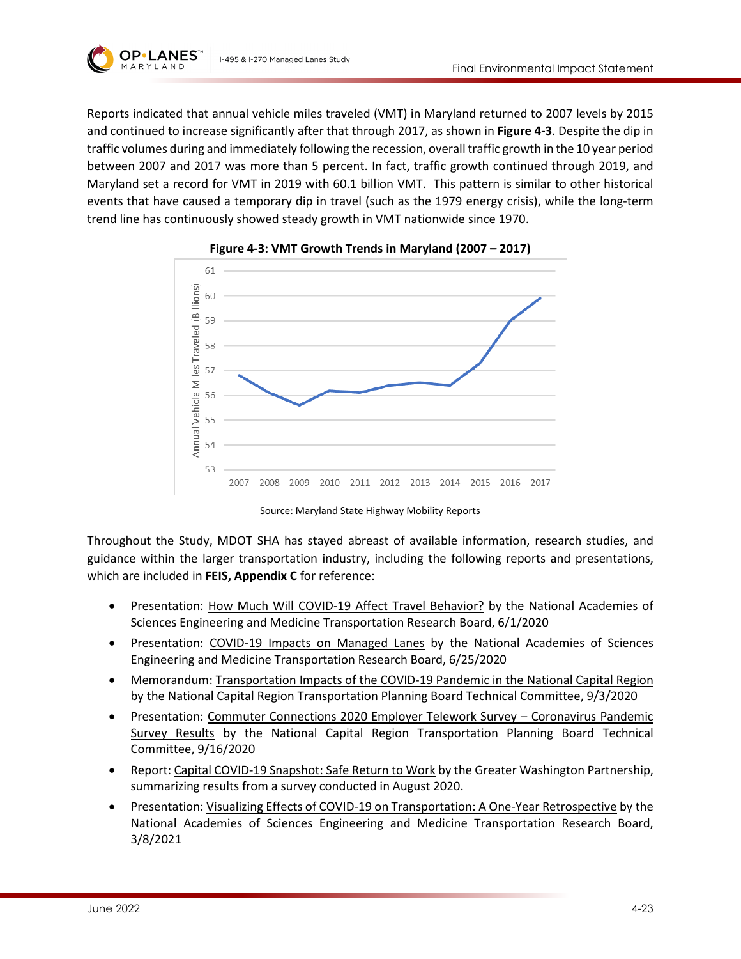



Reports indicated that annual vehicle miles traveled (VMT) in Maryland returned to 2007 levels by 2015 and continued to increase significantly after that through 2017, as shown in **[Figure 4-3](#page-22-0)**. Despite the dip in traffic volumes during and immediately following the recession, overall traffic growth in the 10 year period between 2007 and 2017 was more than 5 percent. In fact, traffic growth continued through 2019, and Maryland set a record for VMT in 2019 with 60.1 billion VMT. This pattern is similar to other historical events that have caused a temporary dip in travel (such as the 1979 energy crisis), while the long-term trend line has continuously showed steady growth in VMT nationwide since 1970.

<span id="page-22-0"></span>



Source: Maryland State Highway Mobility Reports

Throughout the Study, MDOT SHA has stayed abreast of available information, research studies, and guidance within the larger transportation industry, including the following reports and presentations, which are included in **FEIS, Appendix C** for reference:

- Presentation: How Much Will COVID-19 Affect Travel Behavior? by the National Academies of Sciences Engineering and Medicine Transportation Research Board, 6/1/2020
- Presentation: COVID-19 Impacts on Managed Lanes by the National Academies of Sciences Engineering and Medicine Transportation Research Board, 6/25/2020
- Memorandum: Transportation Impacts of the COVID-19 Pandemic in the National Capital Region by the National Capital Region Transportation Planning Board Technical Committee, 9/3/2020
- Presentation: Commuter Connections 2020 Employer Telework Survey Coronavirus Pandemic Survey Results by the National Capital Region Transportation Planning Board Technical Committee, 9/16/2020
- Report: Capital COVID-19 Snapshot: Safe Return to Work by the Greater Washington Partnership, summarizing results from a survey conducted in August 2020.
- Presentation: Visualizing Effects of COVID-19 on Transportation: A One-Year Retrospective by the National Academies of Sciences Engineering and Medicine Transportation Research Board, 3/8/2021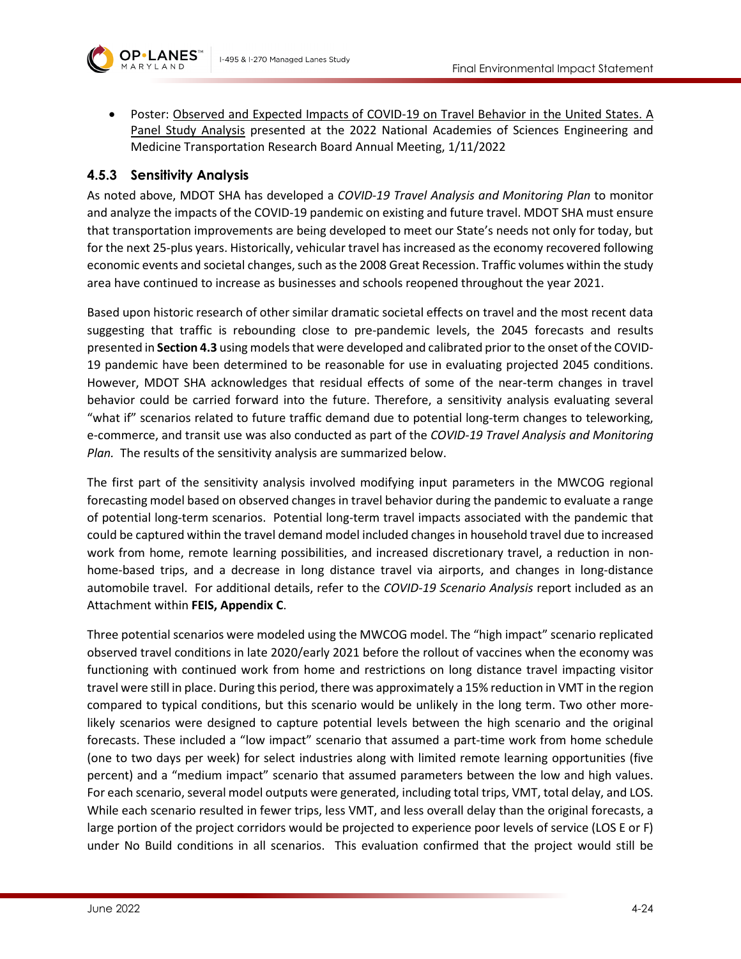



• Poster: Observed and Expected Impacts of COVID-19 on Travel Behavior in the United States. A Panel Study Analysis presented at the 2022 National Academies of Sciences Engineering and Medicine Transportation Research Board Annual Meeting, 1/11/2022

#### **4.5.3 Sensitivity Analysis**

As noted above, MDOT SHA has developed a *COVID-19 Travel Analysis and Monitoring Plan* to monitor and analyze the impacts of the COVID-19 pandemic on existing and future travel. MDOT SHA must ensure that transportation improvements are being developed to meet our State's needs not only for today, but for the next 25-plus years. Historically, vehicular travel has increased as the economy recovered following economic events and societal changes, such as the 2008 Great Recession. Traffic volumes within the study area have continued to increase as businesses and schools reopened throughout the year 2021.

Based upon historic research of other similar dramatic societal effects on travel and the most recent data suggesting that traffic is rebounding close to pre-pandemic levels, the 2045 forecasts and results presented in **Sectio[n 4.3](#page-8-0)** using models that were developed and calibrated prior to the onset of the COVID-19 pandemic have been determined to be reasonable for use in evaluating projected 2045 conditions. However, MDOT SHA acknowledges that residual effects of some of the near-term changes in travel behavior could be carried forward into the future. Therefore, a sensitivity analysis evaluating several "what if" scenarios related to future traffic demand due to potential long-term changes to teleworking, e-commerce, and transit use was also conducted as part of the *COVID-19 Travel Analysis and Monitoring Plan.* The results of the sensitivity analysis are summarized below.

The first part of the sensitivity analysis involved modifying input parameters in the MWCOG regional forecasting model based on observed changes in travel behavior during the pandemic to evaluate a range of potential long-term scenarios. Potential long-term travel impacts associated with the pandemic that could be captured within the travel demand model included changes in household travel due to increased work from home, remote learning possibilities, and increased discretionary travel, a reduction in nonhome-based trips, and a decrease in long distance travel via airports, and changes in long-distance automobile travel. For additional details, refer to the *COVID-19 Scenario Analysis* report included as an Attachment within **FEIS, Appendix C**.

Three potential scenarios were modeled using the MWCOG model. The "high impact" scenario replicated observed travel conditions in late 2020/early 2021 before the rollout of vaccines when the economy was functioning with continued work from home and restrictions on long distance travel impacting visitor travel were still in place. During this period, there was approximately a 15% reduction in VMT in the region compared to typical conditions, but this scenario would be unlikely in the long term. Two other morelikely scenarios were designed to capture potential levels between the high scenario and the original forecasts. These included a "low impact" scenario that assumed a part-time work from home schedule (one to two days per week) for select industries along with limited remote learning opportunities (five percent) and a "medium impact" scenario that assumed parameters between the low and high values. For each scenario, several model outputs were generated, including total trips, VMT, total delay, and LOS. While each scenario resulted in fewer trips, less VMT, and less overall delay than the original forecasts, a large portion of the project corridors would be projected to experience poor levels of service (LOS E or F) under No Build conditions in all scenarios. This evaluation confirmed that the project would still be